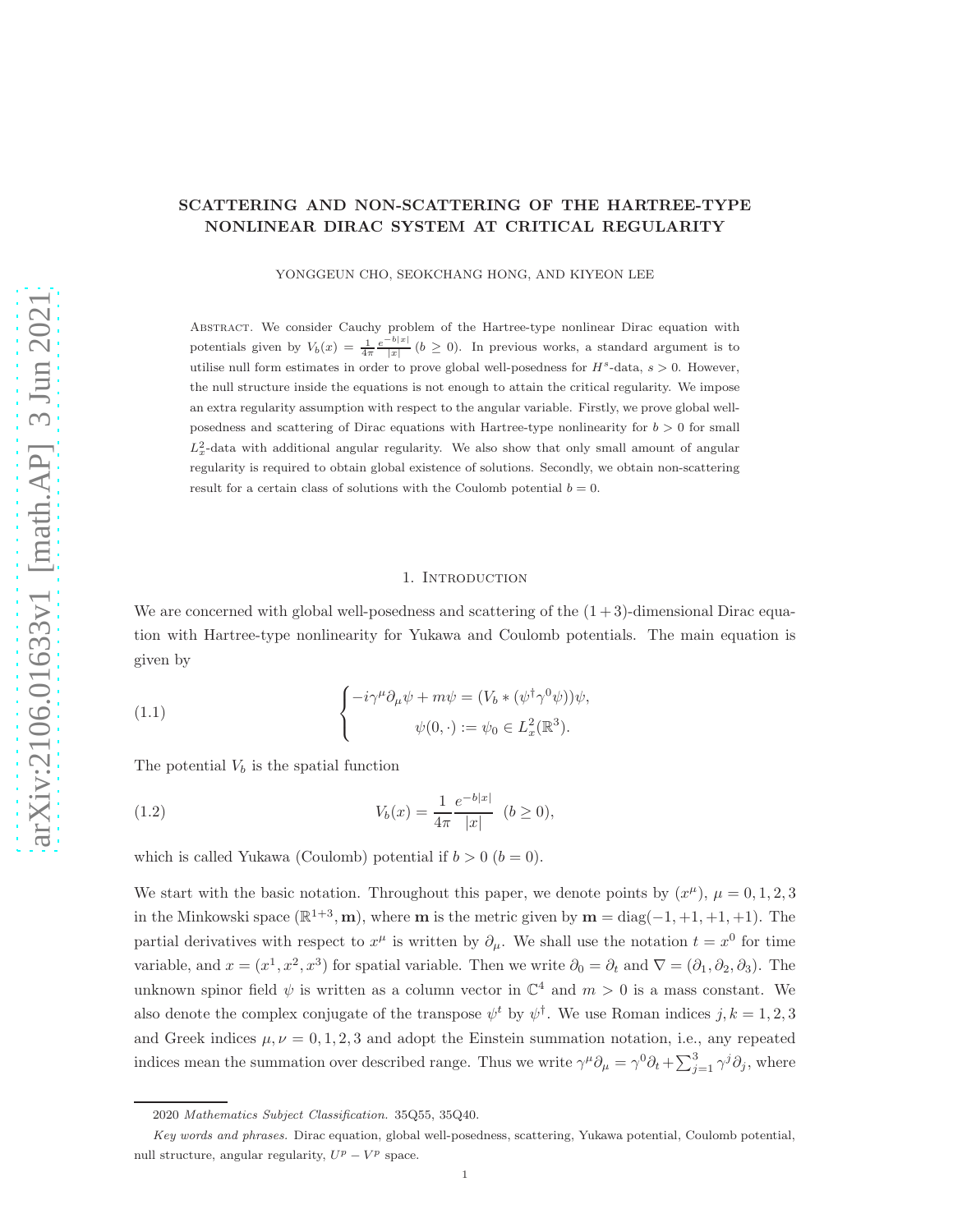YONGGEUN CHO, SEOKCHANG HONG, AND KIYEON LEE

Abstract. We consider Cauchy problem of the Hartree-type nonlinear Dirac equation with potentials given by  $V_b(x) = \frac{1}{4\pi} \frac{e^{-b|x|}}{|x|} (b \ge 0)$ . In previous works, a standard argument is to utilise null form estimates in order to prove global well-posedness for  $H^s$ -data,  $s > 0$ . However, the null structure inside the equations is not enough to attain the critical regularity. We impose an extra regularity assumption with respect to the angular variable. Firstly, we prove global wellposedness and scattering of Dirac equations with Hartree-type nonlinearity for  $b > 0$  for small  $L_x^2$ -data with additional angular regularity. We also show that only small amount of angular regularity is required to obtain global existence of solutions. Secondly, we obtain non-scattering result for a certain class of solutions with the Coulomb potential  $b = 0$ .

#### 1. INTRODUCTION

We are concerned with global well-posedness and scattering of the  $(1+3)$ -dimensional Dirac equation with Hartree-type nonlinearity for Yukawa and Coulomb potentials. The main equation is given by

<span id="page-0-0"></span>(1.1) 
$$
\begin{cases} -i\gamma^{\mu}\partial_{\mu}\psi + m\psi = (V_b * (\psi^{\dagger}\gamma^{0}\psi))\psi, \\ \psi(0, \cdot) := \psi_0 \in L_x^2(\mathbb{R}^3). \end{cases}
$$

The potential  $V<sub>b</sub>$  is the spatial function

(1.2) 
$$
V_b(x) = \frac{1}{4\pi} \frac{e^{-b|x|}}{|x|} \quad (b \ge 0),
$$

which is called Yukawa (Coulomb) potential if  $b > 0$   $(b = 0)$ .

We start with the basic notation. Throughout this paper, we denote points by  $(x^{\mu})$ ,  $\mu = 0, 1, 2, 3$ in the Minkowski space  $(\mathbb{R}^{1+3}, \mathbf{m})$ , where **m** is the metric given by  $\mathbf{m} = \text{diag}(-1, +1, +1, +1)$ . The partial derivatives with respect to  $x^{\mu}$  is written by  $\partial_{\mu}$ . We shall use the notation  $t = x^{0}$  for time variable, and  $x = (x^1, x^2, x^3)$  for spatial variable. Then we write  $\partial_0 = \partial_t$  and  $\nabla = (\partial_1, \partial_2, \partial_3)$ . The unknown spinor field  $\psi$  is written as a column vector in  $\mathbb{C}^4$  and  $m > 0$  is a mass constant. We also denote the complex conjugate of the transpose  $\psi^t$  by  $\psi^{\dagger}$ . We use Roman indices  $j, k = 1, 2, 3$ and Greek indices  $\mu, \nu = 0, 1, 2, 3$  and adopt the Einstein summation notation, i.e., any repeated indices mean the summation over described range. Thus we write  $\gamma^{\mu}\partial_{\mu} = \gamma^{0}\partial_{t} + \sum_{j=1}^{3} \gamma^{j}\partial_{j}$ , where

<sup>2020</sup> *Mathematics Subject Classification.* 35Q55, 35Q40.

*Key words and phrases.* Dirac equation, global well-posedness, scattering, Yukawa potential, Coulomb potential, null structure, angular regularity,  $U^p - V^p$  space.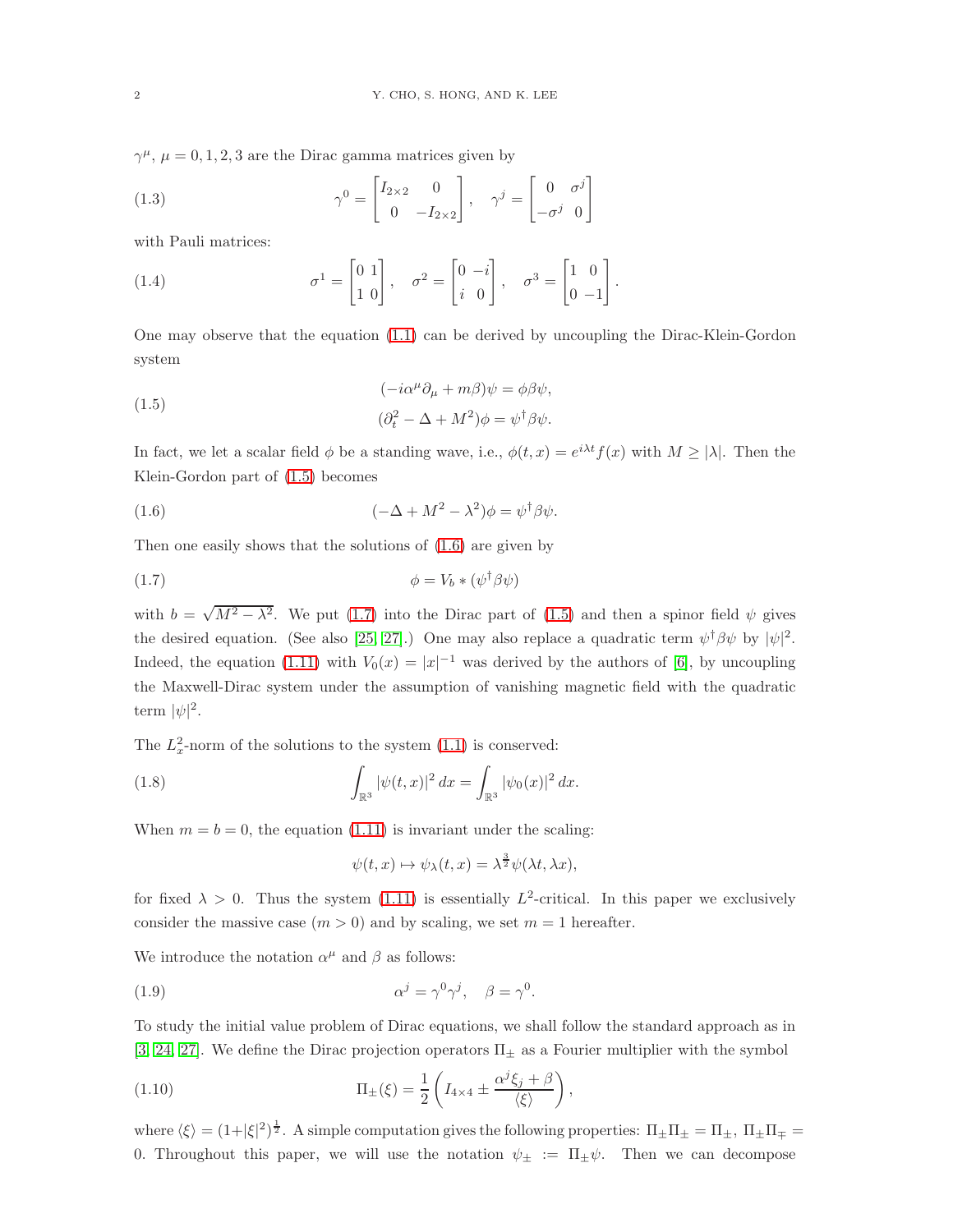$\gamma^{\mu}$ ,  $\mu = 0, 1, 2, 3$  are the Dirac gamma matrices given by

(1.3) 
$$
\gamma^0 = \begin{bmatrix} I_{2\times 2} & 0 \\ 0 & -I_{2\times 2} \end{bmatrix}, \quad \gamma^j = \begin{bmatrix} 0 & \sigma^j \\ -\sigma^j & 0 \end{bmatrix}
$$

with Pauli matrices:

(1.4) 
$$
\sigma^1 = \begin{bmatrix} 0 & 1 \\ 1 & 0 \end{bmatrix}, \quad \sigma^2 = \begin{bmatrix} 0 & -i \\ i & 0 \end{bmatrix}, \quad \sigma^3 = \begin{bmatrix} 1 & 0 \\ 0 & -1 \end{bmatrix}.
$$

One may observe that the equation [\(1.1\)](#page-0-0) can be derived by uncoupling the Dirac-Klein-Gordon system

<span id="page-1-0"></span>(1.5) 
$$
(-i\alpha^{\mu}\partial_{\mu} + m\beta)\psi = \phi\beta\psi,
$$

$$
(\partial_{t}^{2} - \Delta + M^{2})\phi = \psi^{\dagger}\beta\psi.
$$

In fact, we let a scalar field  $\phi$  be a standing wave, i.e.,  $\phi(t,x) = e^{i\lambda t} f(x)$  with  $M \ge |\lambda|$ . Then the Klein-Gordon part of [\(1.5\)](#page-1-0) becomes

<span id="page-1-1"></span>(1.6) 
$$
(-\Delta + M^2 - \lambda^2)\phi = \psi^{\dagger}\beta\psi.
$$

Then one easily shows that the solutions of [\(1.6\)](#page-1-1) are given by

<span id="page-1-2"></span>
$$
\phi = V_b * (\psi^\dagger \beta \psi)
$$

with  $b = \sqrt{M^2 - \lambda^2}$ . We put [\(1.7\)](#page-1-2) into the Dirac part of [\(1.5\)](#page-1-0) and then a spinor field  $\psi$  gives the desired equation. (See also [\[25,](#page-23-0) [27\]](#page-23-1).) One may also replace a quadratic term  $\psi^{\dagger} \beta \psi$  by  $|\psi|^2$ . Indeed, the equation [\(1.11\)](#page-2-0) with  $V_0(x) = |x|^{-1}$  was derived by the authors of [\[6\]](#page-22-0), by uncoupling the Maxwell-Dirac system under the assumption of vanishing magnetic field with the quadratic term  $|\psi|^2$ .

The  $L_x^2$ -norm of the solutions to the system  $(1.1)$  is conserved:

<span id="page-1-5"></span>(1.8) 
$$
\int_{\mathbb{R}^3} |\psi(t,x)|^2 dx = \int_{\mathbb{R}^3} |\psi_0(x)|^2 dx.
$$

When  $m = b = 0$ , the equation [\(1.11\)](#page-2-0) is invariant under the scaling:

$$
\psi(t, x) \mapsto \psi_{\lambda}(t, x) = \lambda^{\frac{3}{2}} \psi(\lambda t, \lambda x),
$$

for fixed  $\lambda > 0$ . Thus the system [\(1.11\)](#page-2-0) is essentially  $L^2$ -critical. In this paper we exclusively consider the massive case  $(m > 0)$  and by scaling, we set  $m = 1$  hereafter.

We introduce the notation  $\alpha^{\mu}$  and  $\beta$  as follows:

<span id="page-1-3"></span>(1.9) 
$$
\alpha^j = \gamma^0 \gamma^j, \quad \beta = \gamma^0.
$$

To study the initial value problem of Dirac equations, we shall follow the standard approach as in [\[3,](#page-22-1) [24,](#page-23-2) [27\]](#page-23-1). We define the Dirac projection operators  $\Pi_{\pm}$  as a Fourier multiplier with the symbol

<span id="page-1-4"></span>(1.10) 
$$
\Pi_{\pm}(\xi) = \frac{1}{2} \left( I_{4 \times 4} \pm \frac{\alpha^j \xi_j + \beta}{\langle \xi \rangle} \right),
$$

where  $\langle \xi \rangle = (1+|\xi|^2)^{\frac{1}{2}}$ . A simple computation gives the following properties:  $\Pi_{\pm}\Pi_{\pm} = \Pi_{\pm}$ ,  $\Pi_{\pm}\Pi_{\mp} =$ 0. Throughout this paper, we will use the notation  $\psi_{\pm} := \Pi_{\pm} \psi$ . Then we can decompose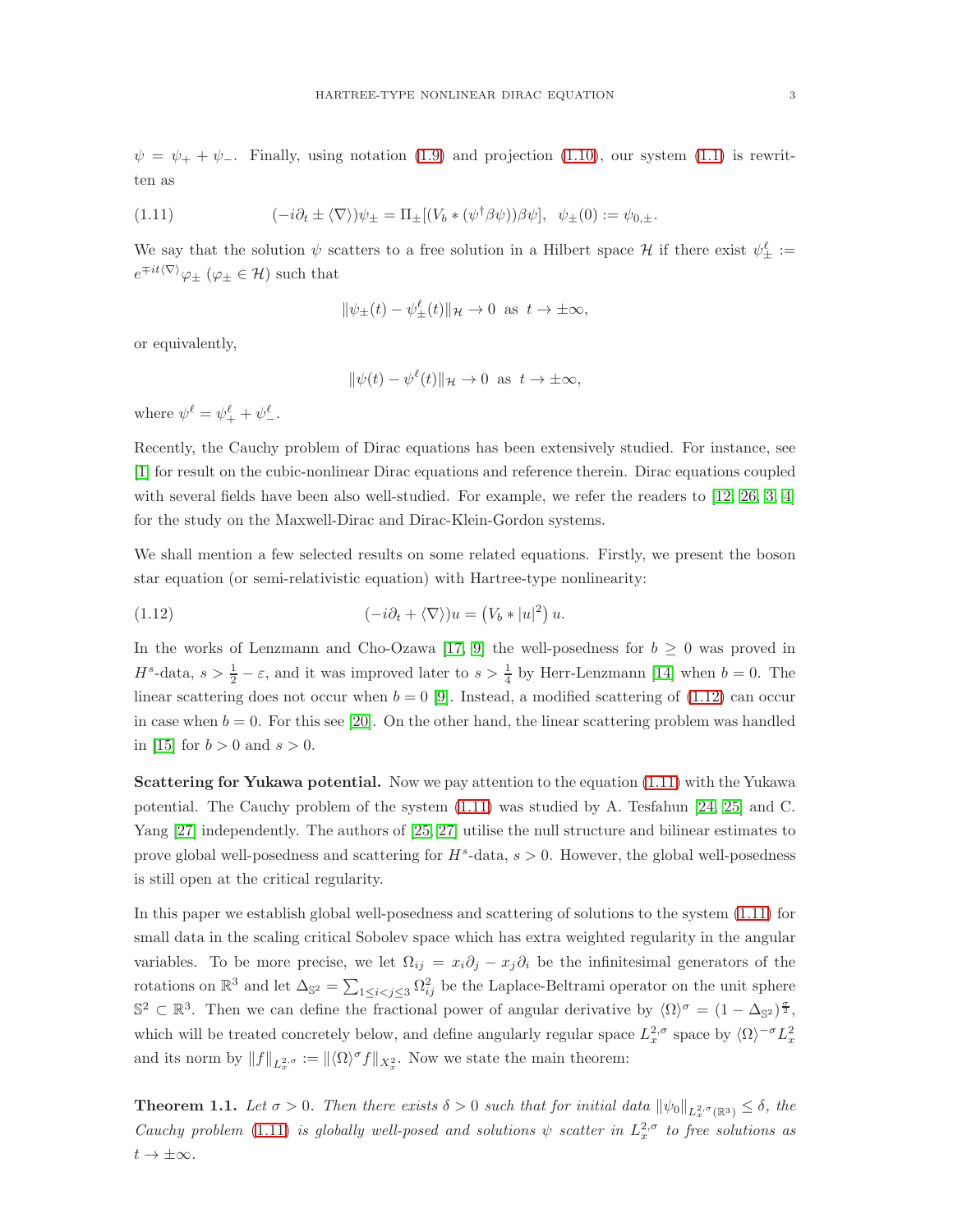$\psi = \psi_+ + \psi_-.$  Finally, using notation [\(1.9\)](#page-1-3) and projection [\(1.10\)](#page-1-4), our system [\(1.1\)](#page-0-0) is rewritten as

<span id="page-2-0"></span>(1.11) 
$$
(-i\partial_t \pm \langle \nabla \rangle)\psi_{\pm} = \Pi_{\pm}[(V_b * (\psi^{\dagger} \beta \psi))\beta \psi], \psi_{\pm}(0) := \psi_{0,\pm}.
$$

We say that the solution  $\psi$  scatters to a free solution in a Hilbert space  $\mathcal H$  if there exist  $\psi_{\pm}^{\ell}$  :=  $e^{\mp it\langle\nabla\rangle}\varphi_{\pm}$  ( $\varphi_{\pm}\in\mathcal{H}$ ) such that

$$
\|\psi_{\pm}(t) - \psi_{\pm}^{\ell}(t)\|_{\mathcal{H}} \to 0 \text{ as } t \to \pm \infty,
$$

or equivalently,

$$
\|\psi(t) - \psi^{\ell}(t)\|_{\mathcal{H}} \to 0 \text{ as } t \to \pm \infty,
$$

where  $\psi^{\ell} = \psi^{\ell}_+ + \psi^{\ell}_-$ .

Recently, the Cauchy problem of Dirac equations has been extensively studied. For instance, see [\[1\]](#page-22-2) for result on the cubic-nonlinear Dirac equations and reference therein. Dirac equations coupled with several fields have been also well-studied. For example, we refer the readers to [\[12,](#page-22-3) [26,](#page-23-3) [3,](#page-22-1) [4\]](#page-22-4) for the study on the Maxwell-Dirac and Dirac-Klein-Gordon systems.

We shall mention a few selected results on some related equations. Firstly, we present the boson star equation (or semi-relativistic equation) with Hartree-type nonlinearity:

<span id="page-2-1"></span>(1.12) 
$$
(-i\partial_t + \langle \nabla \rangle)u = (V_b * |u|^2) u.
$$

In the works of Lenzmann and Cho-Ozawa [\[17,](#page-23-4) [9\]](#page-22-5) the well-posedness for  $b \geq 0$  was proved in  $H^s$ -data,  $s > \frac{1}{2} - \varepsilon$ , and it was improved later to  $s > \frac{1}{4}$  by Herr-Lenzmann [\[14\]](#page-23-5) when  $b = 0$ . The linear scattering does not occur when  $b = 0$  [\[9\]](#page-22-5). Instead, a modified scattering of [\(1.12\)](#page-2-1) can occur in case when  $b = 0$ . For this see [\[20\]](#page-23-6). On the other hand, the linear scattering problem was handled in [\[15\]](#page-23-7) for  $b > 0$  and  $s > 0$ .

Scattering for Yukawa potential. Now we pay attention to the equation [\(1.11\)](#page-2-0) with the Yukawa potential. The Cauchy problem of the system [\(1.11\)](#page-2-0) was studied by A. Tesfahun [\[24,](#page-23-2) [25\]](#page-23-0) and C. Yang [\[27\]](#page-23-1) independently. The authors of [\[25,](#page-23-0) [27\]](#page-23-1) utilise the null structure and bilinear estimates to prove global well-posedness and scattering for  $H^s$ -data,  $s > 0$ . However, the global well-posedness is still open at the critical regularity.

In this paper we establish global well-posedness and scattering of solutions to the system [\(1.11\)](#page-2-0) for small data in the scaling critical Sobolev space which has extra weighted regularity in the angular variables. To be more precise, we let  $\Omega_{ij} = x_i \partial_j - x_j \partial_i$  be the infinitesimal generators of the rotations on  $\mathbb{R}^3$  and let  $\Delta_{\mathbb{S}^2} = \sum_{1 \leq i < j \leq 3} \Omega_{ij}^2$  be the Laplace-Beltrami operator on the unit sphere  $\mathbb{S}^2 \subset \mathbb{R}^3$ . Then we can define the fractional power of angular derivative by  $\langle \Omega \rangle^{\sigma} = (1 - \Delta_{\mathbb{S}^2})^{\frac{\sigma}{2}}$ , which will be treated concretely below, and define angularly regular space  $L_x^{2,\sigma}$  space by  $\langle \Omega \rangle^{-\sigma} L_x^2$ and its norm by  $||f||_{L_x^{2,\sigma}} := ||\langle \Omega \rangle^{\sigma} f||_{X_x^2}$ . Now we state the main theorem:

<span id="page-2-2"></span>**Theorem 1.1.** Let  $\sigma > 0$ . Then there exists  $\delta > 0$  such that for initial data  $\|\psi_0\|_{L^{2,\sigma}_x(\mathbb{R}^3)} \leq \delta$ , the *Cauchy problem* [\(1.11\)](#page-2-0) *is globally well-posed and solutions*  $\psi$  *scatter in*  $L_x^{2,\sigma}$  *to free solutions as*  $t \to \pm \infty$ *.*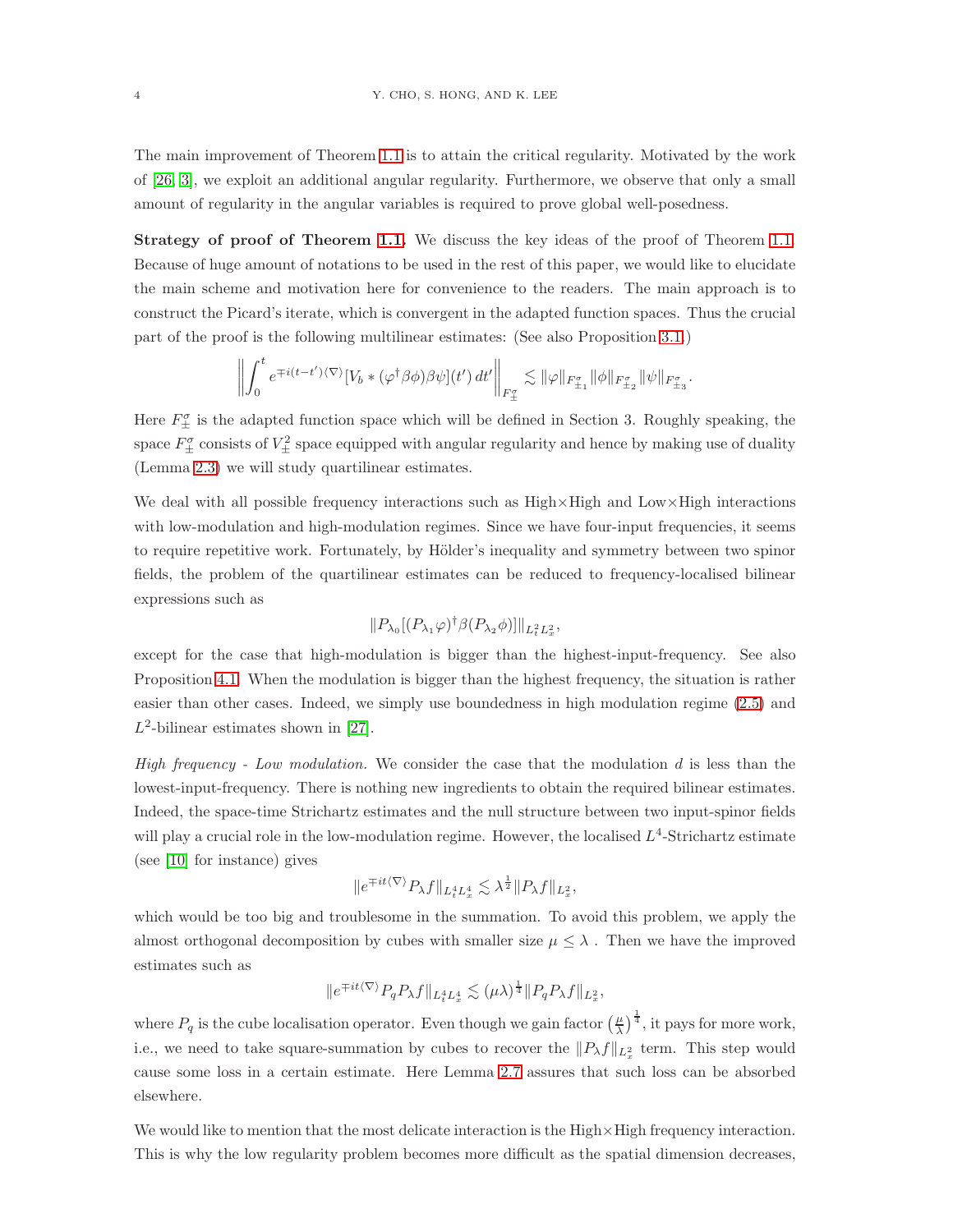The main improvement of Theorem [1.1](#page-2-2) is to attain the critical regularity. Motivated by the work of [\[26,](#page-23-3) [3\]](#page-22-1), we exploit an additional angular regularity. Furthermore, we observe that only a small amount of regularity in the angular variables is required to prove global well-posedness.

Strategy of proof of Theorem [1.1.](#page-2-2) We discuss the key ideas of the proof of Theorem 1.1. Because of huge amount of notations to be used in the rest of this paper, we would like to elucidate the main scheme and motivation here for convenience to the readers. The main approach is to construct the Picard's iterate, which is convergent in the adapted function spaces. Thus the crucial part of the proof is the following multilinear estimates: (See also Proposition [3.1.](#page-11-0))

$$
\left\| \int_0^t e^{\mp i(t-t')\langle\nabla\rangle} \left[V_b * (\varphi^\dagger \beta \phi) \beta \psi\right](t')\, dt' \right\|_{F^\sigma_\pm} \lesssim \|\varphi\|_{F^\sigma_{\pm_1}} \|\phi\|_{F^\sigma_{\pm_2}} \|\psi\|_{F^\sigma_{\pm_3}}
$$

.

Here  $F_{\pm}^{\sigma}$  is the adapted function space which will be defined in Section 3. Roughly speaking, the space  $F_{\pm}^{\sigma}$  consists of  $V_{\pm}^2$  space equipped with angular regularity and hence by making use of duality (Lemma [2.3\)](#page-7-0) we will study quartilinear estimates.

We deal with all possible frequency interactions such as High×High and Low×High interactions with low-modulation and high-modulation regimes. Since we have four-input frequencies, it seems to require repetitive work. Fortunately, by Hölder's inequality and symmetry between two spinor fields, the problem of the quartilinear estimates can be reduced to frequency-localised bilinear expressions such as

$$
||P_{\lambda_0}[(P_{\lambda_1}\varphi)^{\dagger}\beta(P_{\lambda_2}\phi)]||_{L^2_tL^2_x},
$$

except for the case that high-modulation is bigger than the highest-input-frequency. See also Proposition [4.1.](#page-13-0) When the modulation is bigger than the highest frequency, the situation is rather easier than other cases. Indeed, we simply use boundedness in high modulation regime [\(2.5\)](#page-7-1) and  $L^2$ -bilinear estimates shown in [\[27\]](#page-23-1).

*High frequency - Low modulation.* We consider the case that the modulation d is less than the lowest-input-frequency. There is nothing new ingredients to obtain the required bilinear estimates. Indeed, the space-time Strichartz estimates and the null structure between two input-spinor fields will play a crucial role in the low-modulation regime. However, the localised  $L^4$ -Strichartz estimate (see [\[10\]](#page-22-6) for instance) gives

$$
||e^{\mp it\langle \nabla \rangle} P_{\lambda} f||_{L_t^4 L_x^4} \lesssim \lambda^{\frac{1}{2}} ||P_{\lambda} f||_{L_x^2},
$$

which would be too big and troublesome in the summation. To avoid this problem, we apply the almost orthogonal decomposition by cubes with smaller size  $\mu \leq \lambda$ . Then we have the improved estimates such as

$$
||e^{\mp it\langle \nabla \rangle} P_q P_\lambda f||_{L_t^4 L_x^4} \lesssim (\mu \lambda)^{\frac{1}{4}} ||P_q P_\lambda f||_{L_x^2},
$$

where  $P_q$  is the cube localisation operator. Even though we gain factor  $(\frac{\mu}{\lambda})^{\frac{1}{4}}$ , it pays for more work, i.e., we need to take square-summation by cubes to recover the  $||P_\lambda f||_{L_x^2}$  term. This step would cause some loss in a certain estimate. Here Lemma [2.7](#page-9-0) assures that such loss can be absorbed elsewhere.

We would like to mention that the most delicate interaction is the High  $\times$  High frequency interaction. This is why the low regularity problem becomes more difficult as the spatial dimension decreases,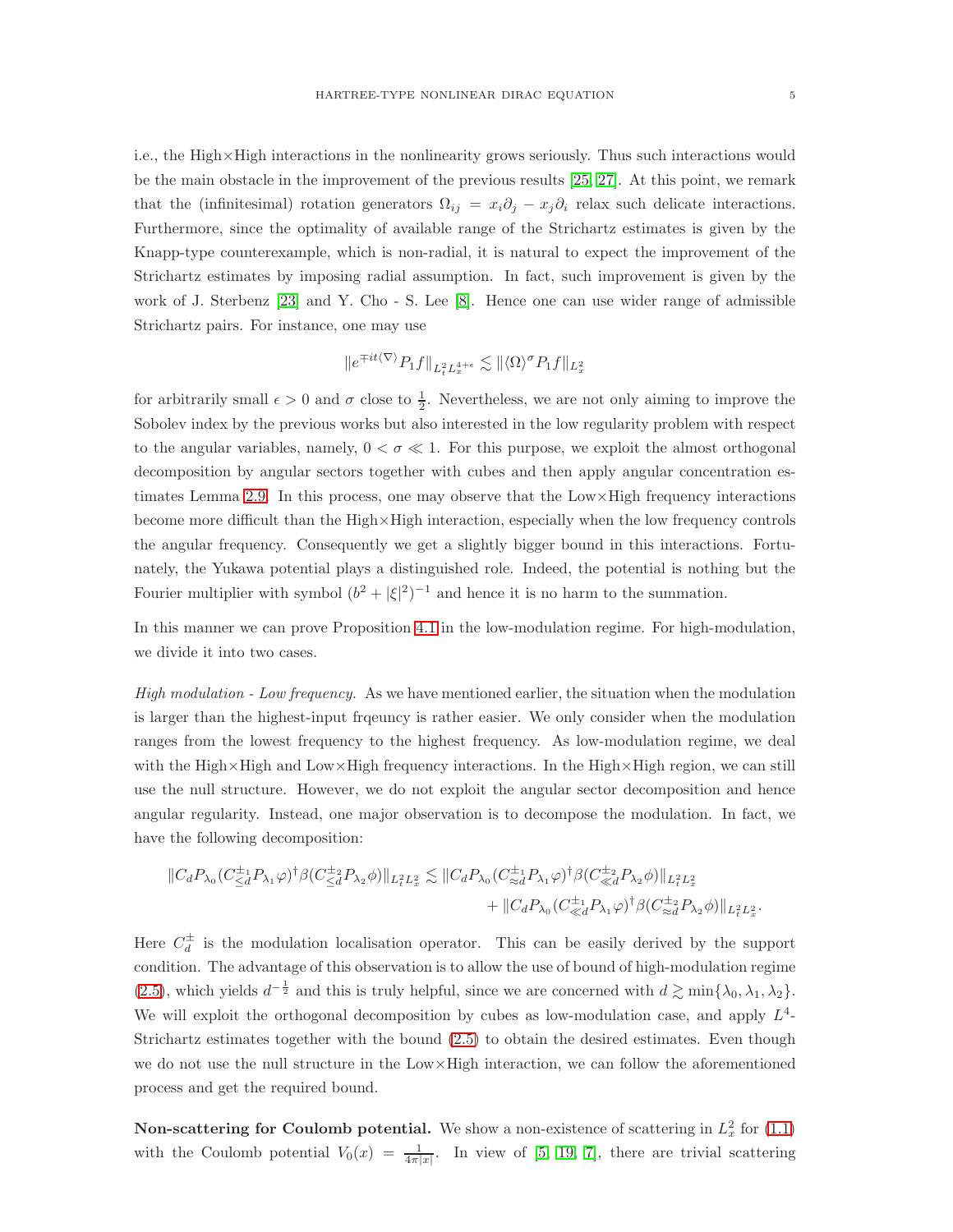i.e., the High×High interactions in the nonlinearity grows seriously. Thus such interactions would be the main obstacle in the improvement of the previous results [\[25,](#page-23-0) [27\]](#page-23-1). At this point, we remark that the (infinitesimal) rotation generators  $\Omega_{ij} = x_i \partial_j - x_j \partial_i$  relax such delicate interactions. Furthermore, since the optimality of available range of the Strichartz estimates is given by the Knapp-type counterexample, which is non-radial, it is natural to expect the improvement of the Strichartz estimates by imposing radial assumption. In fact, such improvement is given by the work of J. Sterbenz [\[23\]](#page-23-8) and Y. Cho - S. Lee [\[8\]](#page-22-7). Hence one can use wider range of admissible Strichartz pairs. For instance, one may use

$$
\|e^{\mp it\langle\nabla\rangle}P_1f\|_{L^2_tL^{4+\epsilon}_x}\lesssim \|\langle\Omega\rangle^\sigma P_1f\|_{L^2_x}
$$

for arbitrarily small  $\epsilon > 0$  and  $\sigma$  close to  $\frac{1}{2}$ . Nevertheless, we are not only aiming to improve the Sobolev index by the previous works but also interested in the low regularity problem with respect to the angular variables, namely,  $0 < \sigma \ll 1$ . For this purpose, we exploit the almost orthogonal decomposition by angular sectors together with cubes and then apply angular concentration es-timates Lemma [2.9.](#page-9-1) In this process, one may observe that the  $Low \times High\ frequencies$  interactions become more difficult than the  $High \times High$  interaction, especially when the low frequency controls the angular frequency. Consequently we get a slightly bigger bound in this interactions. Fortunately, the Yukawa potential plays a distinguished role. Indeed, the potential is nothing but the Fourier multiplier with symbol  $(b^2 + |\xi|^2)^{-1}$  and hence it is no harm to the summation.

In this manner we can prove Proposition [4.1](#page-13-0) in the low-modulation regime. For high-modulation, we divide it into two cases.

*High modulation - Low frequency.* As we have mentioned earlier, the situation when the modulation is larger than the highest-input frqeuncy is rather easier. We only consider when the modulation ranges from the lowest frequency to the highest frequency. As low-modulation regime, we deal with the High×High and Low×High frequency interactions. In the High×High region, we can still use the null structure. However, we do not exploit the angular sector decomposition and hence angular regularity. Instead, one major observation is to decompose the modulation. In fact, we have the following decomposition:

$$
||C_d P_{\lambda_0} (C_{\leq d}^{\pm_1} P_{\lambda_1} \varphi)^{\dagger} \beta (C_{\leq d}^{\pm_2} P_{\lambda_2} \phi) ||_{L_t^2 L_x^2} \lesssim ||C_d P_{\lambda_0} (C_{\approx d}^{\pm_1} P_{\lambda_1} \varphi)^{\dagger} \beta (C_{\ll d}^{\pm_2} P_{\lambda_2} \phi) ||_{L_t^2 L_x^2} + ||C_d P_{\lambda_0} (C_{\ll d}^{\pm_1} P_{\lambda_1} \varphi)^{\dagger} \beta (C_{\approx d}^{\pm_2} P_{\lambda_2} \phi) ||_{L_t^2 L_x^2}.
$$

Here  $C_d^{\pm}$  is the modulation localisation operator. This can be easily derived by the support condition. The advantage of this observation is to allow the use of bound of high-modulation regime [\(2.5\)](#page-7-1), which yields  $d^{-\frac{1}{2}}$  and this is truly helpful, since we are concerned with  $d \gtrsim \min\{\lambda_0, \lambda_1, \lambda_2\}.$ We will exploit the orthogonal decomposition by cubes as low-modulation case, and apply  $L^4$ -Strichartz estimates together with the bound [\(2.5\)](#page-7-1) to obtain the desired estimates. Even though we do not use the null structure in the Low×High interaction, we can follow the aforementioned process and get the required bound.

**Non-scattering for Coulomb potential.** We show a non-existence of scattering in  $L_x^2$  for [\(1.1\)](#page-0-0) with the Coulomb potential  $V_0(x) = \frac{1}{4\pi|x|}$ . In view of [\[5,](#page-22-8) [19,](#page-23-9) [7\]](#page-22-9), there are trivial scattering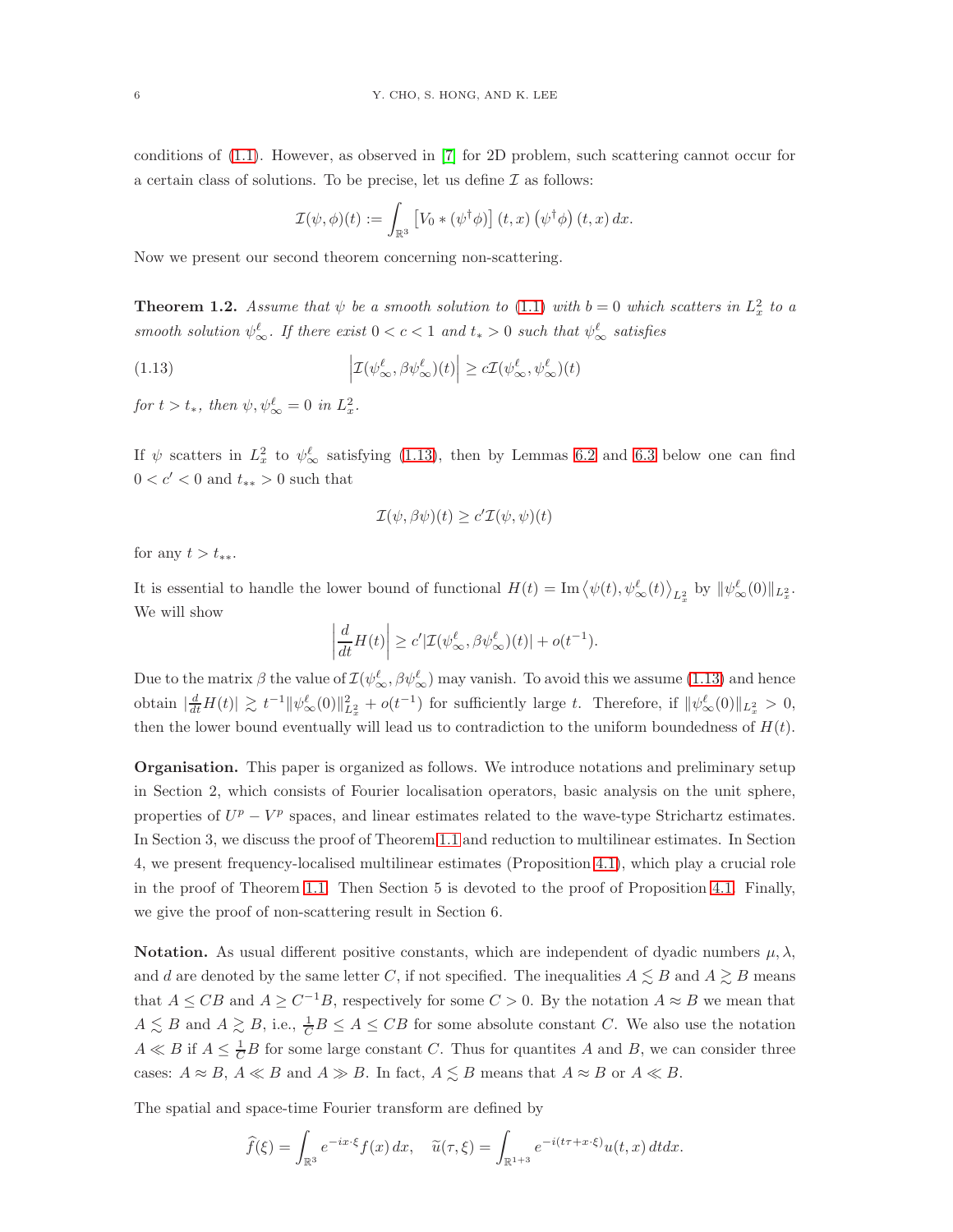conditions of [\(1.1\)](#page-0-0). However, as observed in [\[7\]](#page-22-9) for 2D problem, such scattering cannot occur for a certain class of solutions. To be precise, let us define  $\mathcal I$  as follows:

$$
\mathcal{I}(\psi,\phi)(t) := \int_{\mathbb{R}^3} \left[ V_0 * (\psi^{\dagger} \phi) \right](t,x) (\psi^{\dagger} \phi) (t,x) dx.
$$

Now we present our second theorem concerning non-scattering.

<span id="page-5-1"></span>**Theorem 1.2.** Assume that  $\psi$  be a smooth solution to [\(1.1\)](#page-0-0) with  $b = 0$  which scatters in  $L_x^2$  to a *smooth solution*  $\psi^{\ell}_{\infty}$ . If there exist  $0 < c < 1$  and  $t_* > 0$  such that  $\psi^{\ell}_{\infty}$  satisfies

<span id="page-5-0"></span>(1.13) 
$$
\left| \mathcal{I}(\psi_\infty^\ell, \beta \psi_\infty^\ell)(t) \right| \ge c \mathcal{I}(\psi_\infty^\ell, \psi_\infty^\ell)(t)
$$

*for*  $t > t_*$ *, then*  $\psi, \psi^{\ell}_{\infty} = 0$  *in*  $L_x^2$ *.* 

If  $\psi$  scatters in  $L_x^2$  to  $\psi_\infty^{\ell}$  satisfying [\(1.13\)](#page-5-0), then by Lemmas [6.2](#page-21-0) and [6.3](#page-21-1) below one can find  $0 < c' < 0$  and  $t_{**} > 0$  such that

$$
\mathcal{I}(\psi,\beta\psi)(t)\geq c'\mathcal{I}(\psi,\psi)(t)
$$

for any  $t > t_{**}.$ 

It is essential to handle the lower bound of functional  $H(t) = \text{Im} \langle \psi(t), \psi_{\infty}^{\ell}(t) \rangle_{L_x^2}$  by  $\|\psi_{\infty}^{\ell}(0)\|_{L_x^2}$ . We will show

$$
\left|\frac{d}{dt}H(t)\right| \geq c' |\mathcal{I}(\psi_\infty^\ell,\beta\psi_\infty^\ell)(t)| + o(t^{-1}).
$$

Due to the matrix  $\beta$  the value of  $\mathcal{I}(\psi_\infty^{\ell}, \beta \psi_\infty^{\ell})$  may vanish. To avoid this we assume [\(1.13\)](#page-5-0) and hence obtain  $\frac{d}{dt}H(t) \geq t^{-1} \|\psi^{\ell}_{\infty}(0)\|_{L_x^2}^2 + o(t^{-1})$  for sufficiently large t. Therefore, if  $\|\psi^{\ell}_{\infty}(0)\|_{L_x^2} > 0$ , then the lower bound eventually will lead us to contradiction to the uniform boundedness of  $H(t)$ .

Organisation. This paper is organized as follows. We introduce notations and preliminary setup in Section 2, which consists of Fourier localisation operators, basic analysis on the unit sphere, properties of  $U^p - V^p$  spaces, and linear estimates related to the wave-type Strichartz estimates. In Section 3, we discuss the proof of Theorem [1.1](#page-2-2) and reduction to multilinear estimates. In Section 4, we present frequency-localised multilinear estimates (Proposition [4.1\)](#page-13-0), which play a crucial role in the proof of Theorem [1.1.](#page-2-2) Then Section 5 is devoted to the proof of Proposition [4.1.](#page-13-0) Finally, we give the proof of non-scattering result in Section 6.

Notation. As usual different positive constants, which are independent of dyadic numbers  $\mu, \lambda$ , and d are denoted by the same letter C, if not specified. The inequalities  $A \leq B$  and  $A \geq B$  means that  $A \leq CB$  and  $A \geq C^{-1}B$ , respectively for some  $C > 0$ . By the notation  $A \approx B$  we mean that  $A \lesssim B$  and  $A \gtrsim B$ , i.e.,  $\frac{1}{C}B \le A \le CB$  for some absolute constant C. We also use the notation  $A \ll B$  if  $A \leq \frac{1}{C}B$  for some large constant C. Thus for quantites A and B, we can consider three cases:  $A \approx B$ ,  $A \ll B$  and  $A \gg B$ . In fact,  $A \lesssim B$  means that  $A \approx B$  or  $A \ll B$ .

The spatial and space-time Fourier transform are defined by

$$
\widehat{f}(\xi) = \int_{\mathbb{R}^3} e^{-ix\cdot\xi} f(x) dx, \quad \widetilde{u}(\tau,\xi) = \int_{\mathbb{R}^{1+3}} e^{-i(t\tau + x\cdot\xi)} u(t,x) dt dx.
$$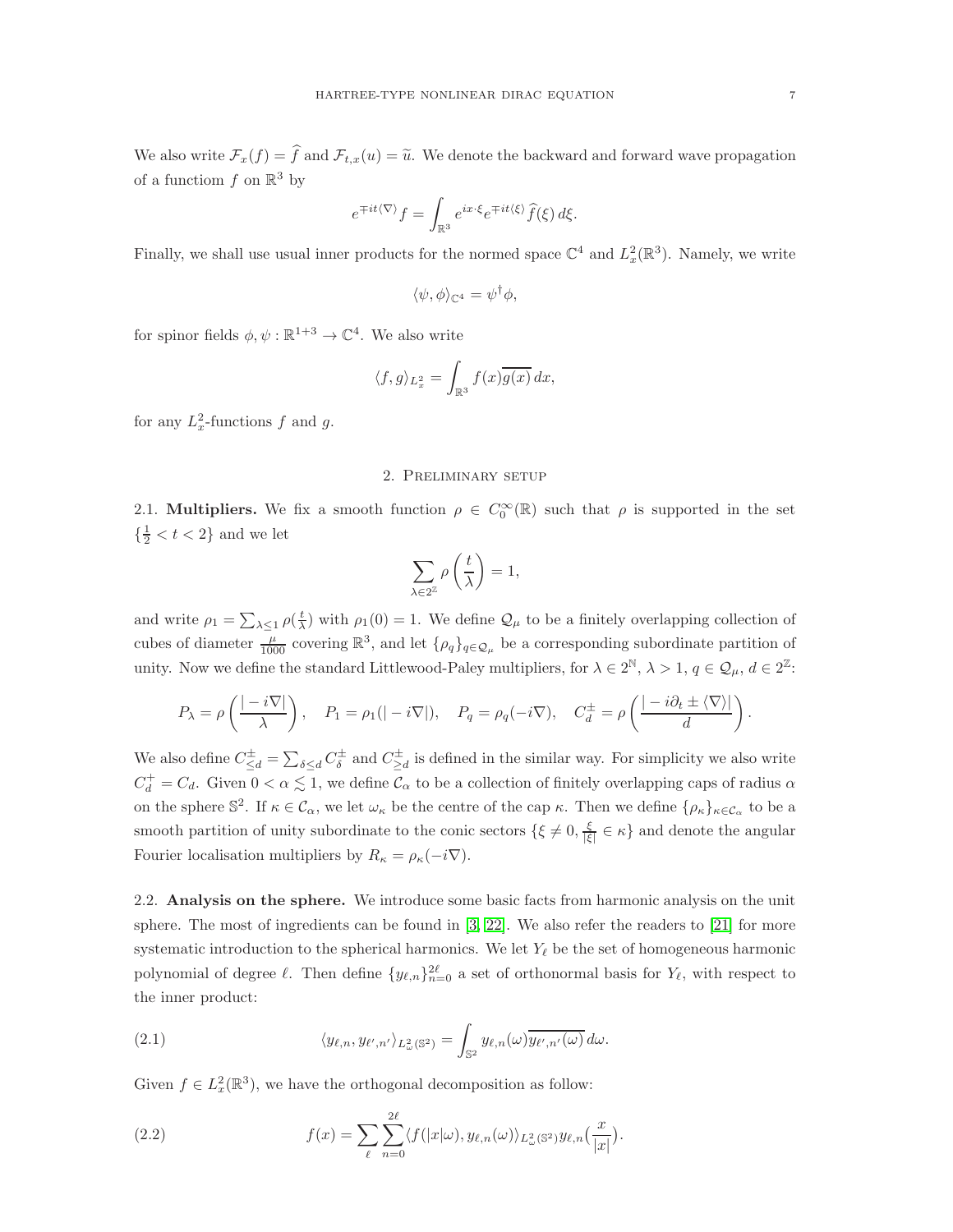We also write  $\mathcal{F}_x(f) = \hat{f}$  and  $\mathcal{F}_{t,x}(u) = \tilde{u}$ . We denote the backward and forward wave propagation of a functiom  $f$  on  $\mathbb{R}^3$  by

$$
e^{\mp it\langle\nabla\rangle}f=\int_{\mathbb{R}^3}e^{ix\cdot\xi}e^{\mp it\langle\xi\rangle}\widehat{f}(\xi)\,d\xi.
$$

Finally, we shall use usual inner products for the normed space  $\mathbb{C}^4$  and  $L_x^2(\mathbb{R}^3)$ . Namely, we write

$$
\langle \psi, \phi \rangle_{\mathbb{C}^4} = \psi^{\dagger} \phi,
$$

for spinor fields  $\phi, \psi : \mathbb{R}^{1+3} \to \mathbb{C}^4$ . We also write

$$
\langle f, g \rangle_{L^2_x} = \int_{\mathbb{R}^3} f(x) \overline{g(x)} \, dx,
$$

for any  $L_x^2$ -functions f and g.

# 2. Preliminary setup

2.1. **Multipliers.** We fix a smooth function  $\rho \in C_0^{\infty}(\mathbb{R})$  such that  $\rho$  is supported in the set  $\{\frac{1}{2} < t < 2\}$  and we let

$$
\sum_{\lambda \in 2^{\mathbb{Z}}} \rho \left( \frac{t}{\lambda} \right) = 1,
$$

and write  $\rho_1 = \sum_{\lambda \leq 1} \rho(\frac{t}{\lambda})$  with  $\rho_1(0) = 1$ . We define  $\mathcal{Q}_{\mu}$  to be a finitely overlapping collection of cubes of diameter  $\frac{\mu}{1000}$  covering  $\mathbb{R}^3$ , and let  $\{\rho_q\}_{q\in\mathcal{Q}_\mu}$  be a corresponding subordinate partition of unity. Now we define the standard Littlewood-Paley multipliers, for  $\lambda \in 2^{\mathbb{N}}, \lambda > 1, q \in \mathcal{Q}_{\mu}, d \in 2^{\mathbb{Z}}$ :

$$
P_{\lambda} = \rho \left( \frac{|-i\nabla|}{\lambda} \right), \quad P_1 = \rho_1(|-i\nabla|), \quad P_q = \rho_q(-i\nabla), \quad C_d^{\pm} = \rho \left( \frac{|-i\partial_t \pm \langle \nabla \rangle|}{d} \right).
$$

We also define  $C_{\leq d}^{\pm} = \sum_{\delta \leq d} C_{\delta}^{\pm}$  and  $C_{\geq d}^{\pm}$  is defined in the similar way. For simplicity we also write  $C_d^+ = C_d$ . Given  $0 < \alpha \leq 1$ , we define  $C_{\alpha}$  to be a collection of finitely overlapping caps of radius  $\alpha$ on the sphere  $\mathbb{S}^2$ . If  $\kappa \in \mathcal{C}_{\alpha}$ , we let  $\omega_{\kappa}$  be the centre of the cap  $\kappa$ . Then we define  $\{\rho_{\kappa}\}_{\kappa \in \mathcal{C}_{\alpha}}$  to be a smooth partition of unity subordinate to the conic sectors  $\{\xi \neq 0, \frac{\xi}{|\xi|} \in \kappa\}$  and denote the angular Fourier localisation multipliers by  $R_{\kappa} = \rho_{\kappa}(-i\nabla)$ .

2.2. Analysis on the sphere. We introduce some basic facts from harmonic analysis on the unit sphere. The most of ingredients can be found in  $[3, 22]$  $[3, 22]$ . We also refer the readers to  $[21]$  for more systematic introduction to the spherical harmonics. We let  $Y_{\ell}$  be the set of homogeneous harmonic polynomial of degree  $\ell$ . Then define  $\{y_{\ell,n}\}_{n=0}^{2\ell}$  a set of orthonormal basis for  $Y_{\ell}$ , with respect to the inner product:

(2.1) 
$$
\langle y_{\ell,n}, y_{\ell',n'} \rangle_{L^2_{\omega}(\mathbb{S}^2)} = \int_{\mathbb{S}^2} y_{\ell,n}(\omega) \overline{y_{\ell',n'}(\omega)} d\omega.
$$

Given  $f \in L_x^2(\mathbb{R}^3)$ , we have the orthogonal decomposition as follow:

(2.2) 
$$
f(x) = \sum_{\ell} \sum_{n=0}^{2\ell} \langle f(|x|\omega), y_{\ell,n}(\omega) \rangle_{L^2_{\omega}(\mathbb{S}^2)} y_{\ell,n}\left(\frac{x}{|x|}\right).
$$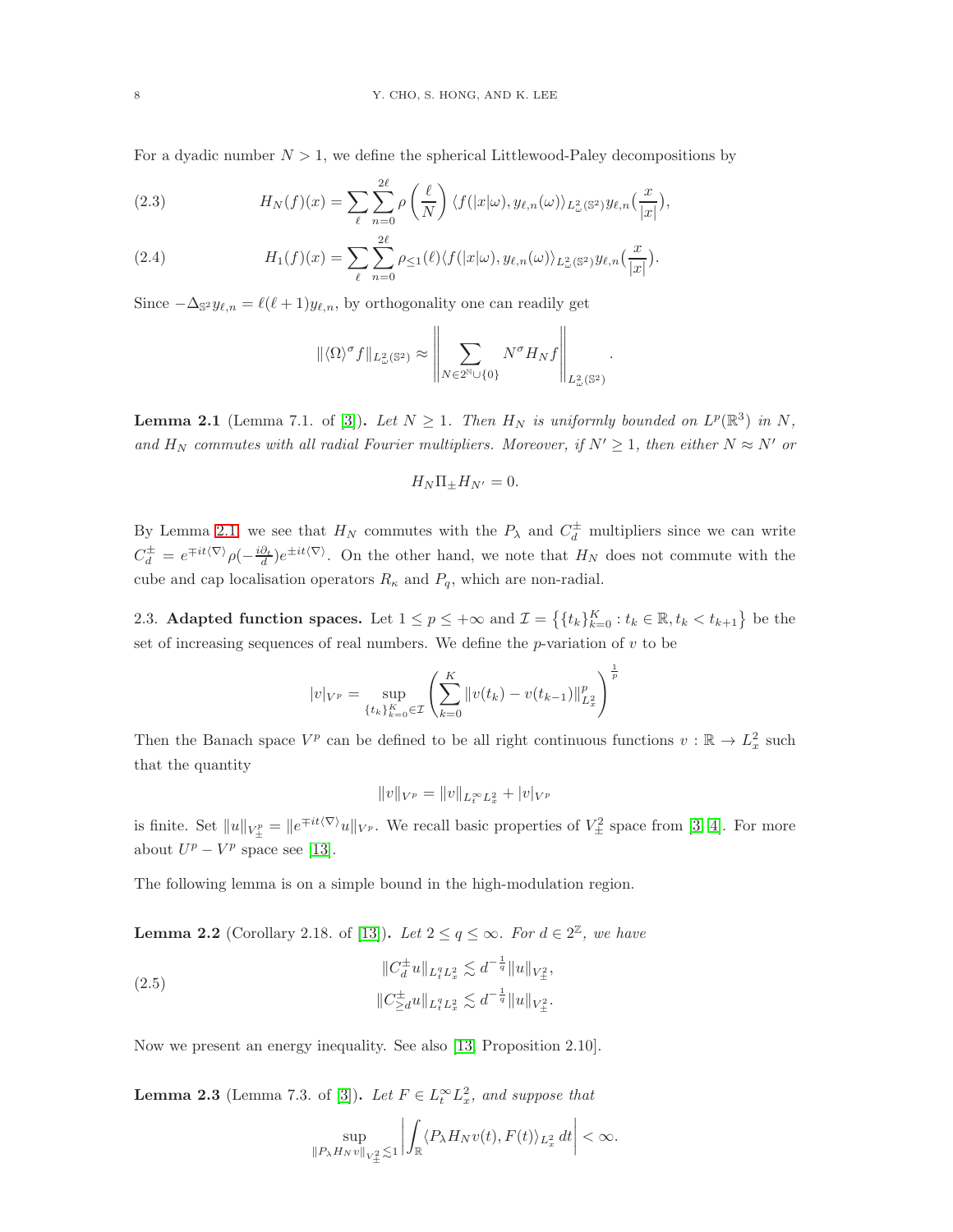For a dyadic number  $N > 1$ , we define the spherical Littlewood-Paley decompositions by

(2.3) 
$$
H_N(f)(x) = \sum_{\ell} \sum_{n=0}^{2\ell} \rho\left(\frac{\ell}{N}\right) \langle f(|x|\omega), y_{\ell,n}(\omega) \rangle_{L^2_{\omega}(\mathbb{S}^2)} y_{\ell,n}\left(\frac{x}{|x|}\right),
$$

(2.4) 
$$
H_1(f)(x) = \sum_{\ell} \sum_{n=0}^{2\ell} \rho_{\leq 1}(\ell) \langle f(|x|\omega), y_{\ell,n}(\omega) \rangle_{L^2_{\omega}(\mathbb{S}^2)} y_{\ell,n}(\frac{x}{|x|}).
$$

Since  $-\Delta_{\mathbb{S}^2} y_{\ell,n} = \ell(\ell+1) y_{\ell,n}$ , by orthogonality one can readily get

$$
\| \langle \Omega \rangle^{\sigma} f \|_{L^2_{\omega}({\mathbb S}^2)} \approx \left\| \sum_{N \in 2^{\mathbb N} \cup \{0\}} N^{\sigma} H_N f \right\|_{L^2_{\omega}({\mathbb S}^2)}
$$

.

<span id="page-7-2"></span>**Lemma 2.1** (Lemma 7.1. of [\[3\]](#page-22-1)). Let  $N \geq 1$ . Then  $H_N$  is uniformly bounded on  $L^p(\mathbb{R}^3)$  in  $N$ , *and*  $H_N$  *commutes with all radial Fourier multipliers. Moreover, if*  $N' \geq 1$ *, then either*  $N \approx N'$  *or* 

$$
H_N \Pi_{\pm} H_{N'} = 0.
$$

By Lemma [2.1,](#page-7-2) we see that  $H_N$  commutes with the  $P_\lambda$  and  $C_d^{\pm}$  multipliers since we can write  $C_d^{\pm} = e^{\mp it\langle \nabla \rangle} \rho(-\frac{i\partial_t}{d}) e^{\pm it\langle \nabla \rangle}$ . On the other hand, we note that  $H_N$  does not commute with the cube and cap localisation operators  $R_{\kappa}$  and  $P_{q}$ , which are non-radial.

2.3. Adapted function spaces. Let  $1 \le p \le +\infty$  and  $\mathcal{I} = \left\{ \{t_k\}_{k=0}^K : t_k \in \mathbb{R}, t_k < t_{k+1} \right\}$  be the set of increasing sequences of real numbers. We define the  $p$ -variation of  $v$  to be

$$
|v|_{V^{p}} = \sup_{\{t_k\}_{k=0}^{K} \in \mathcal{I}} \left( \sum_{k=0}^{K} ||v(t_k) - v(t_{k-1})||_{L_x^2}^p \right)^{\frac{1}{p}}
$$

Then the Banach space  $V^p$  can be defined to be all right continuous functions  $v : \mathbb{R} \to L^2_x$  such that the quantity

$$
||v||_{V^p} = ||v||_{L_t^{\infty}L_x^2} + |v|_{V^p}
$$

is finite. Set  $||u||_{V^p_{\pm}} = ||e^{\mp it\langle \nabla \rangle} u||_{V^p}$ . We recall basic properties of  $V^2_{\pm}$  space from [\[3,](#page-22-1) [4\]](#page-22-4). For more about  $U^p - V^p$  space see [\[13\]](#page-23-12).

The following lemma is on a simple bound in the high-modulation region.

**Lemma 2.2** (Corollary 2.18. of [\[13\]](#page-23-12)). *Let*  $2 \le q \le \infty$ *. For*  $d \in 2^{\mathbb{Z}}$ *, we have* 

<span id="page-7-1"></span>(2.5) 
$$
\|C_d^{\pm}u\|_{L_t^q L_x^2} \lesssim d^{-\frac{1}{q}}\|u\|_{V_{\pm}^2},
$$

$$
\|C_{\geq d}^{\pm}u\|_{L_t^q L_x^2} \lesssim d^{-\frac{1}{q}}\|u\|_{V_{\pm}^2}.
$$

Now we present an energy inequality. See also [\[13,](#page-23-12) Proposition 2.10].

<span id="page-7-0"></span>**Lemma 2.3** (Lemma 7.3. of [\[3\]](#page-22-1)). *Let*  $F \in L_t^{\infty} L_x^2$ , and suppose that

$$
\sup_{\|P_{\lambda}H_N v\|_{V^2_{\pm}}\lesssim 1}\left|\int_{\mathbb{R}}\langle P_{\lambda}H_N v(t), F(t)\rangle_{L^2_x}\, dt\right|<\infty.
$$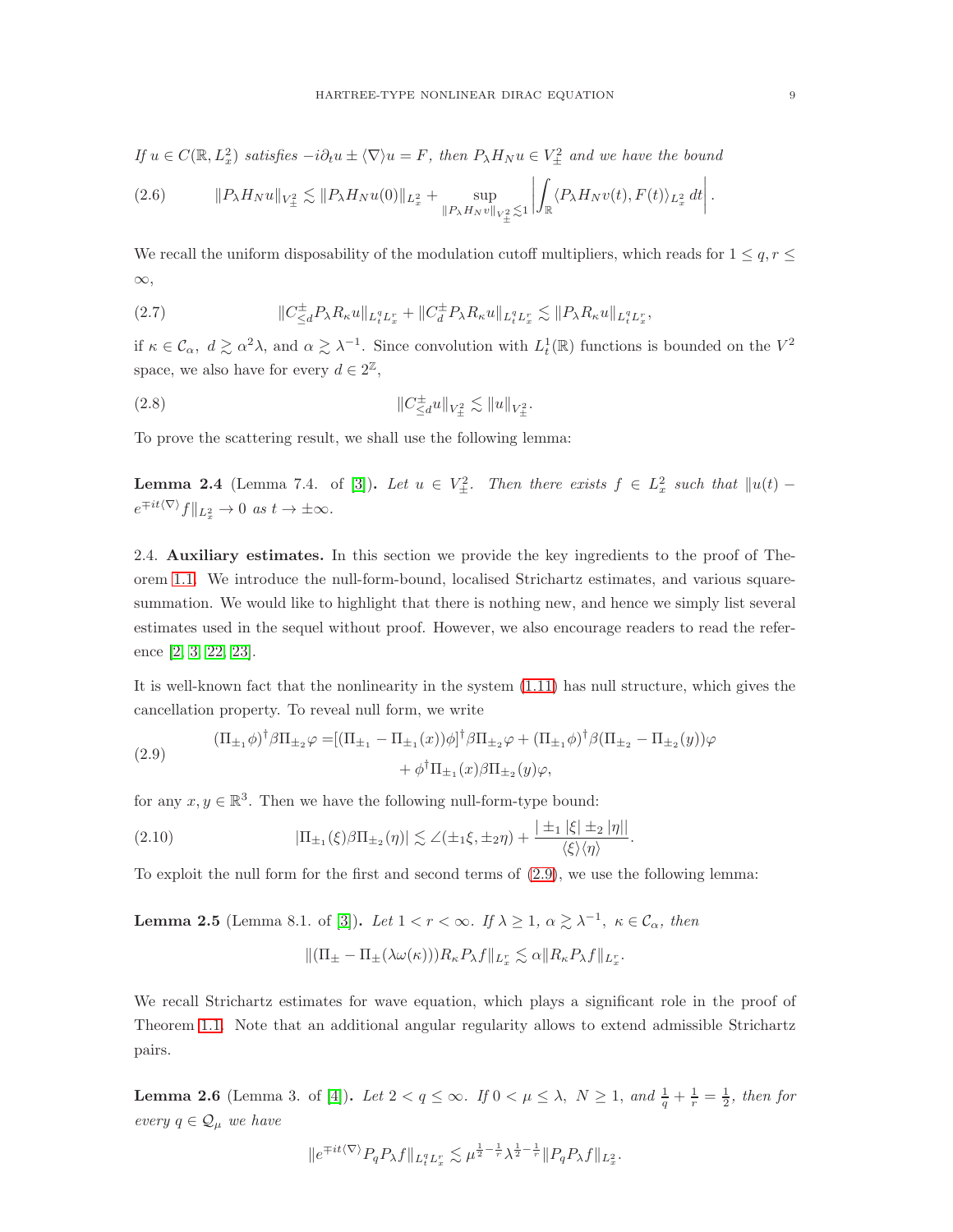*If*  $u \in C(\mathbb{R}, L_x^2)$  *satisfies*  $-i\partial_t u \pm \langle \nabla \rangle u = F$ , then  $P_{\lambda}H_{N}u \in V_{\pm}^2$  and we have the bound

$$
(2.6) \t\t ||P_{\lambda}H_{N}u||_{V_{\pm}^{2}} \lesssim ||P_{\lambda}H_{N}u(0)||_{L_{x}^{2}} + \sup_{||P_{\lambda}H_{N}v||_{V_{\pm}^{2}} \lesssim 1} \left| \int_{\mathbb{R}} \langle P_{\lambda}H_{N}v(t), F(t) \rangle_{L_{x}^{2}} dt \right|.
$$

We recall the uniform disposability of the modulation cutoff multipliers, which reads for  $1 \leq q, r \leq$ ∞,

(2.7) 
$$
\|C_{\leq d}^{\pm} P_{\lambda} R_{\kappa} u\|_{L_t^q L_x^r} + \|C_d^{\pm} P_{\lambda} R_{\kappa} u\|_{L_t^q L_x^r} \lesssim \|P_{\lambda} R_{\kappa} u\|_{L_t^q L_x^r},
$$

if  $\kappa \in \mathcal{C}_\alpha$ ,  $d \gtrsim \alpha^2 \lambda$ , and  $\alpha \gtrsim \lambda^{-1}$ . Since convolution with  $L_t^1(\mathbb{R})$  functions is bounded on the  $V^2$ space, we also have for every  $d \in 2^{\mathbb{Z}}$ ,

(2.8) 
$$
\|C_{\leq d}^{\pm}u\|_{V_{\pm}^2}\lesssim \|u\|_{V_{\pm}^2}.
$$

To prove the scattering result, we shall use the following lemma:

<span id="page-8-2"></span>**Lemma 2.4** (Lemma 7.4. of [\[3\]](#page-22-1)). Let  $u \in V^2_{\pm}$ . Then there exists  $f \in L^2_x$  such that  $||u(t)$  $e^{\mp it\langle \nabla \rangle} f \|_{L_x^2} \to 0 \text{ as } t \to \pm \infty.$ 

2.4. Auxiliary estimates. In this section we provide the key ingredients to the proof of Theorem [1.1.](#page-2-2) We introduce the null-form-bound, localised Strichartz estimates, and various squaresummation. We would like to highlight that there is nothing new, and hence we simply list several estimates used in the sequel without proof. However, we also encourage readers to read the reference [\[2,](#page-22-10) [3,](#page-22-1) [22,](#page-23-10) [23\]](#page-23-8).

It is well-known fact that the nonlinearity in the system [\(1.11\)](#page-2-0) has null structure, which gives the cancellation property. To reveal null form, we write

<span id="page-8-0"></span>(2.9) 
$$
(\Pi_{\pm_1}\phi)^{\dagger}\beta\Pi_{\pm_2}\varphi = [(\Pi_{\pm_1} - \Pi_{\pm_1}(x))\phi]^{\dagger}\beta\Pi_{\pm_2}\varphi + (\Pi_{\pm_1}\phi)^{\dagger}\beta(\Pi_{\pm_2} - \Pi_{\pm_2}(y))\varphi + \phi^{\dagger}\Pi_{\pm_1}(x)\beta\Pi_{\pm_2}(y)\varphi,
$$

for any  $x, y \in \mathbb{R}^3$ . Then we have the following null-form-type bound:

<span id="page-8-4"></span>(2.10) 
$$
|\Pi_{\pm_1}(\xi)\beta\Pi_{\pm_2}(\eta)| \lesssim \angle(\pm_1\xi,\pm_2\eta) + \frac{|\pm_1|\xi|\pm_2|\eta||}{\langle\xi\rangle\langle\eta\rangle}.
$$

To exploit the null form for the first and second terms of [\(2.9\)](#page-8-0), we use the following lemma:

<span id="page-8-3"></span>**Lemma 2.5** (Lemma 8.1. of [\[3\]](#page-22-1)). *Let*  $1 < r < \infty$ . *If*  $\lambda \geq 1$ ,  $\alpha \geq \lambda^{-1}$ ,  $\kappa \in C_{\alpha}$ , then

$$
\|(\Pi_{\pm} - \Pi_{\pm}(\lambda \omega(\kappa)))R_{\kappa}P_{\lambda}f\|_{L_x^r} \lesssim \alpha \|R_{\kappa}P_{\lambda}f\|_{L_x^r}.
$$

We recall Strichartz estimates for wave equation, which plays a significant role in the proof of Theorem [1.1.](#page-2-2) Note that an additional angular regularity allows to extend admissible Strichartz pairs.

<span id="page-8-1"></span>**Lemma 2.6** (Lemma 3. of [\[4\]](#page-22-4)). Let  $2 < q \le \infty$ . If  $0 < \mu \le \lambda$ ,  $N \ge 1$ , and  $\frac{1}{q} + \frac{1}{r} = \frac{1}{2}$ , then for *every*  $q \in \mathcal{Q}_{\mu}$  *we have* 

$$
||e^{\mp it\langle \nabla \rangle} P_q P_\lambda f||_{L_t^q L_x^r} \lesssim \mu^{\frac{1}{2} - \frac{1}{r}} \lambda^{\frac{1}{2} - \frac{1}{r}} ||P_q P_\lambda f||_{L_x^2}.
$$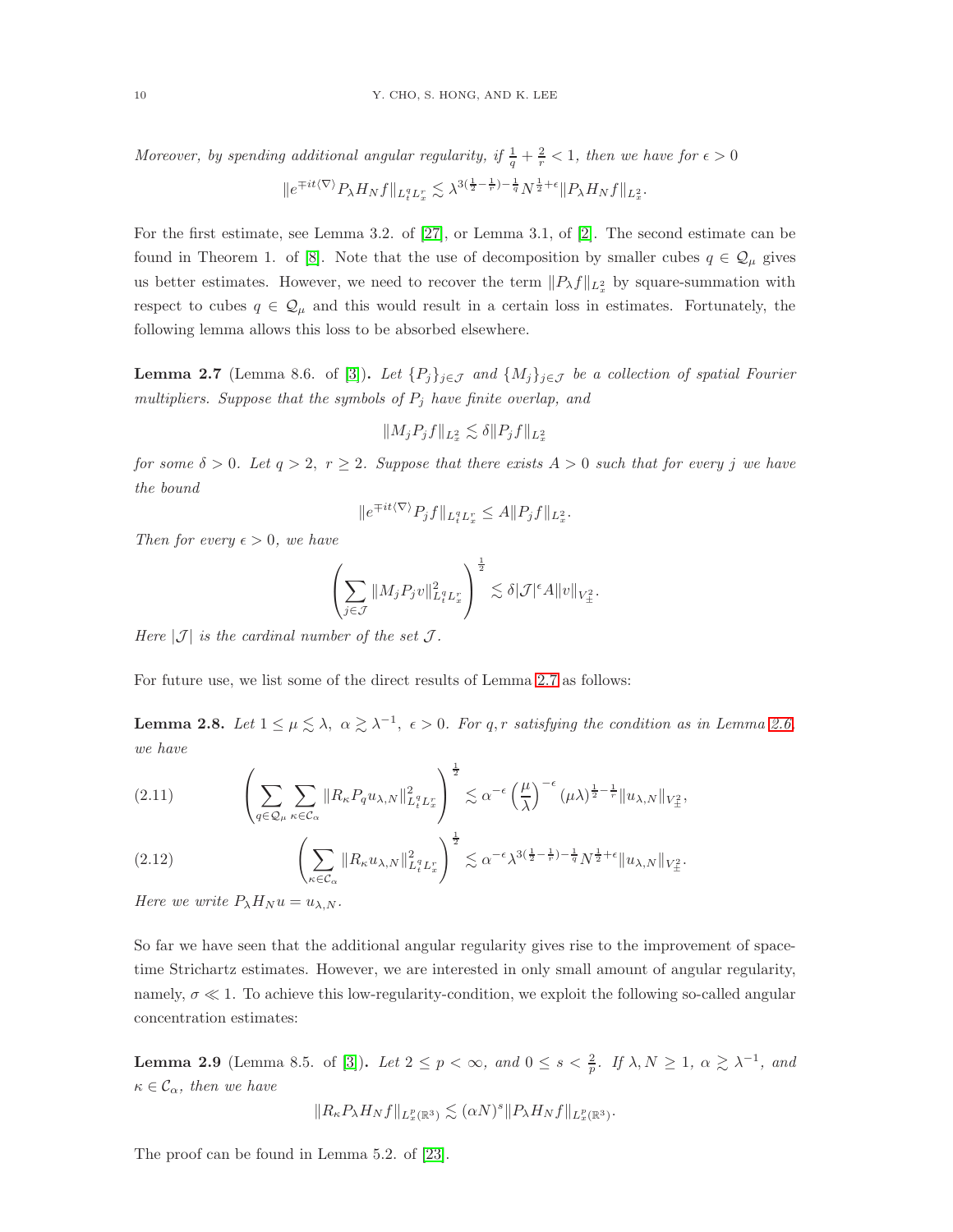*Moreover, by spending additional angular regularity, if*  $\frac{1}{q} + \frac{2}{r} < 1$ *, then we have for*  $\epsilon > 0$ 

$$
||e^{\mp it\langle\nabla\rangle}P_{\lambda}H_Nf||_{L^q_tL^r_x} \lesssim \lambda^{3(\frac{1}{2}-\frac{1}{r})-\frac{1}{q}}N^{\frac{1}{2}+\epsilon}||P_{\lambda}H_Nf||_{L^2_x}.
$$

For the first estimate, see Lemma 3.2. of [\[27\]](#page-23-1), or Lemma 3.1, of [\[2\]](#page-22-10). The second estimate can be found in Theorem 1. of [\[8\]](#page-22-7). Note that the use of decomposition by smaller cubes  $q \in \mathcal{Q}_{\mu}$  gives us better estimates. However, we need to recover the term  $||P_\lambda f||_{L^2_x}$  by square-summation with respect to cubes  $q \in \mathcal{Q}_\mu$  and this would result in a certain loss in estimates. Fortunately, the following lemma allows this loss to be absorbed elsewhere.

<span id="page-9-0"></span>**Lemma 2.7** (Lemma 8.6. of [\[3\]](#page-22-1)). Let  $\{P_j\}_{j\in\mathcal{J}}$  and  $\{M_j\}_{j\in\mathcal{J}}$  be a collection of spatial Fourier *multipliers. Suppose that the symbols of* P<sup>j</sup> *have finite overlap, and*

$$
||M_j P_j f||_{L^2_x} \lesssim \delta ||P_j f||_{L^2_x}
$$

*for some*  $\delta > 0$ *. Let*  $q > 2$ *,*  $r \geq 2$ *. Suppose that there exists*  $A > 0$  *such that for every j we have the bound*

$$
||e^{\mp it\langle \nabla \rangle} P_j f||_{L_t^q L_x^r} \leq A ||P_j f||_{L_x^2}.
$$

*Then for every*  $\epsilon > 0$ *, we have* 

$$
\left(\sum_{j\in\mathcal{J}}\|M_jP_jv\|_{L_t^qL_x^r}^2\right)^{\frac{1}{2}}\lesssim\delta|\mathcal{J}|^\epsilon A\|v\|_{V_{\pm}^2}.
$$

*Here*  $|\mathcal{J}|$  *is the cardinal number of the set*  $\mathcal{J}$ *.* 

For future use, we list some of the direct results of Lemma [2.7](#page-9-0) as follows:

**Lemma 2.8.** Let  $1 \leq \mu \leq \lambda$ ,  $\alpha \geq \lambda^{-1}$ ,  $\epsilon > 0$ . For q, r satisfying the condition as in Lemma [2.6,](#page-8-1) *we have*

<span id="page-9-2"></span>
$$
(2.11) \qquad \left(\sum_{q\in\mathcal{Q}_{\mu}}\sum_{\kappa\in\mathcal{C}_{\alpha}}\|R_{\kappa}P_{q}u_{\lambda,N}\|_{L_{t}^{q}L_{x}^{r}}^{2}\right)^{\frac{1}{2}} \lesssim \alpha^{-\epsilon}\left(\frac{\mu}{\lambda}\right)^{-\epsilon}(\mu\lambda)^{\frac{1}{2}-\frac{1}{r}}\|u_{\lambda,N}\|_{V_{\pm}^{2}},
$$

$$
(2.12) \qquad \left(\sum_{\kappa \in \mathcal{C}_{\alpha}} \|R_{\kappa} u_{\lambda,N}\|_{L_t^q L_x^r}^2\right)^{\frac{1}{2}} \lesssim \alpha^{-\epsilon} \lambda^{3(\frac{1}{2}-\frac{1}{r})-\frac{1}{q}} N^{\frac{1}{2}+\epsilon} \|u_{\lambda,N}\|_{V_{\pm}^2}.
$$

*Here we write*  $P_{\lambda}H_{N}u = u_{\lambda,N}$ *.* 

So far we have seen that the additional angular regularity gives rise to the improvement of spacetime Strichartz estimates. However, we are interested in only small amount of angular regularity, namely,  $\sigma \ll 1$ . To achieve this low-regularity-condition, we exploit the following so-called angular concentration estimates:

<span id="page-9-1"></span>**Lemma 2.9** (Lemma 8.5. of [\[3\]](#page-22-1)). Let  $2 \le p < \infty$ , and  $0 \le s < \frac{2}{p}$ . If  $\lambda, N \ge 1$ ,  $\alpha \gtrsim \lambda^{-1}$ , and  $\kappa \in \mathcal{C}_{\alpha}$ , then we have

$$
||R_{\kappa}P_{\lambda}H_Nf||_{L^p_{x}(\mathbb{R}^3)} \lesssim (\alpha N)^s ||P_{\lambda}H_Nf||_{L^p_{x}(\mathbb{R}^3)}.
$$

The proof can be found in Lemma 5.2. of [\[23\]](#page-23-8).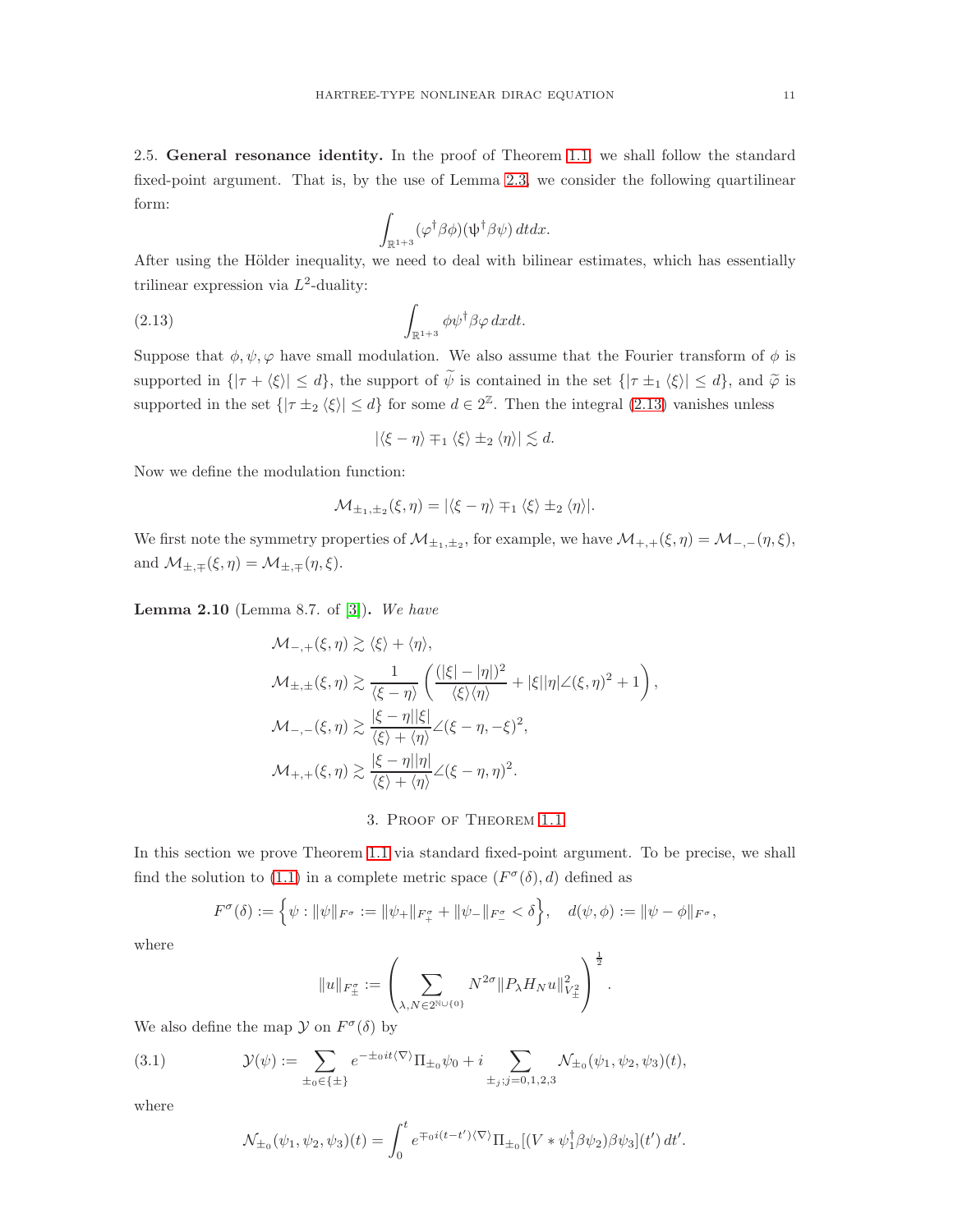2.5. General resonance identity. In the proof of Theorem [1.1,](#page-2-2) we shall follow the standard fixed-point argument. That is, by the use of Lemma [2.3,](#page-7-0) we consider the following quartilinear form:

$$
\int_{\mathbb{R}^{1+3}} (\varphi^{\dagger} \beta \phi)(\psi^{\dagger} \beta \psi) dt dx.
$$

After using the Hölder inequality, we need to deal with bilinear estimates, which has essentially trilinear expression via  $L^2$ -duality:

<span id="page-10-0"></span>(2.13) 
$$
\int_{\mathbb{R}^{1+3}} \phi \psi^{\dagger} \beta \varphi \, dxdt.
$$

Suppose that  $\phi, \psi, \varphi$  have small modulation. We also assume that the Fourier transform of  $\phi$  is supported in  $\{|\tau + \langle \xi \rangle| \leq d\}$ , the support of  $\widetilde{\psi}$  is contained in the set  $\{|\tau \pm i \langle \xi \rangle| \leq d\}$ , and  $\widetilde{\varphi}$  is supported in the set  $\{|\tau \pm 2 \langle \xi \rangle | \leq d\}$  for some  $d \in 2^{\mathbb{Z}}$ . Then the integral [\(2.13\)](#page-10-0) vanishes unless

$$
|\langle \xi - \eta \rangle \mp_1 \langle \xi \rangle \pm_2 \langle \eta \rangle| \lesssim d.
$$

Now we define the modulation function:

$$
\mathcal{M}_{\pm_1,\pm_2}(\xi,\eta) = |\langle \xi - \eta \rangle \mp_1 \langle \xi \rangle \pm_2 \langle \eta \rangle|.
$$

We first note the symmetry properties of  $\mathcal{M}_{\pm 1,\pm 2}$ , for example, we have  $\mathcal{M}_{+,+}(\xi,\eta) = \mathcal{M}_{-,-}(\eta,\xi)$ , and  $\mathcal{M}_{\pm,\mp}(\xi,\eta) = \mathcal{M}_{\pm,\mp}(\eta,\xi)$ .

<span id="page-10-2"></span>Lemma 2.10 (Lemma 8.7. of [\[3\]](#page-22-1)). *We have*

$$
\mathcal{M}_{-,+}(\xi,\eta) \gtrsim \langle \xi \rangle + \langle \eta \rangle,
$$
  
\n
$$
\mathcal{M}_{\pm,\pm}(\xi,\eta) \gtrsim \frac{1}{\langle \xi - \eta \rangle} \left( \frac{(|\xi| - |\eta|)^2}{\langle \xi \rangle \langle \eta \rangle} + |\xi| |\eta| \angle (\xi,\eta)^2 + 1 \right),
$$
  
\n
$$
\mathcal{M}_{-,-}(\xi,\eta) \gtrsim \frac{|\xi - \eta| |\xi|}{\langle \xi \rangle + \langle \eta \rangle} \angle (\xi - \eta, -\xi)^2,
$$
  
\n
$$
\mathcal{M}_{+,+}(\xi,\eta) \gtrsim \frac{|\xi - \eta| |\eta|}{\langle \xi \rangle + \langle \eta \rangle} \angle (\xi - \eta, \eta)^2.
$$

3. Proof of Theorem [1.1](#page-2-2)

In this section we prove Theorem [1.1](#page-2-2) via standard fixed-point argument. To be precise, we shall find the solution to [\(1.1\)](#page-0-0) in a complete metric space  $(F^{\sigma}(\delta), d)$  defined as

$$
F^{\sigma}(\delta) := \left\{ \psi : ||\psi||_{F^{\sigma}} := ||\psi_+||_{F^{\sigma}_+} + ||\psi_-||_{F^{\sigma}_-} < \delta \right\}, \quad d(\psi, \phi) := ||\psi - \phi||_{F^{\sigma}},
$$

where

$$
||u||_{F_{\pm}^{\sigma}} := \left(\sum_{\lambda, N \in 2^{\mathbb{N} \cup \{0\}}} N^{2\sigma} || P_{\lambda} H_N u ||_{V_{\pm}^2}^2 \right)^{\frac{1}{2}}.
$$

We also define the map  $\mathcal Y$  on  $F^{\sigma}(\delta)$  by

<span id="page-10-1"></span>(3.1) 
$$
\mathcal{Y}(\psi) := \sum_{\pm_0 \in \{\pm\}} e^{-\pm_0 it(\nabla)} \Pi_{\pm_0} \psi_0 + i \sum_{\pm_j; j=0,1,2,3} \mathcal{N}_{\pm_0}(\psi_1, \psi_2, \psi_3)(t),
$$

where

$$
\mathcal{N}_{\pm_0}(\psi_1, \psi_2, \psi_3)(t) = \int_0^t e^{\mp o i(t-t')\langle \nabla \rangle} \Pi_{\pm_0} [(V * \psi_1^\dagger \beta \psi_2) \beta \psi_3](t') dt'.
$$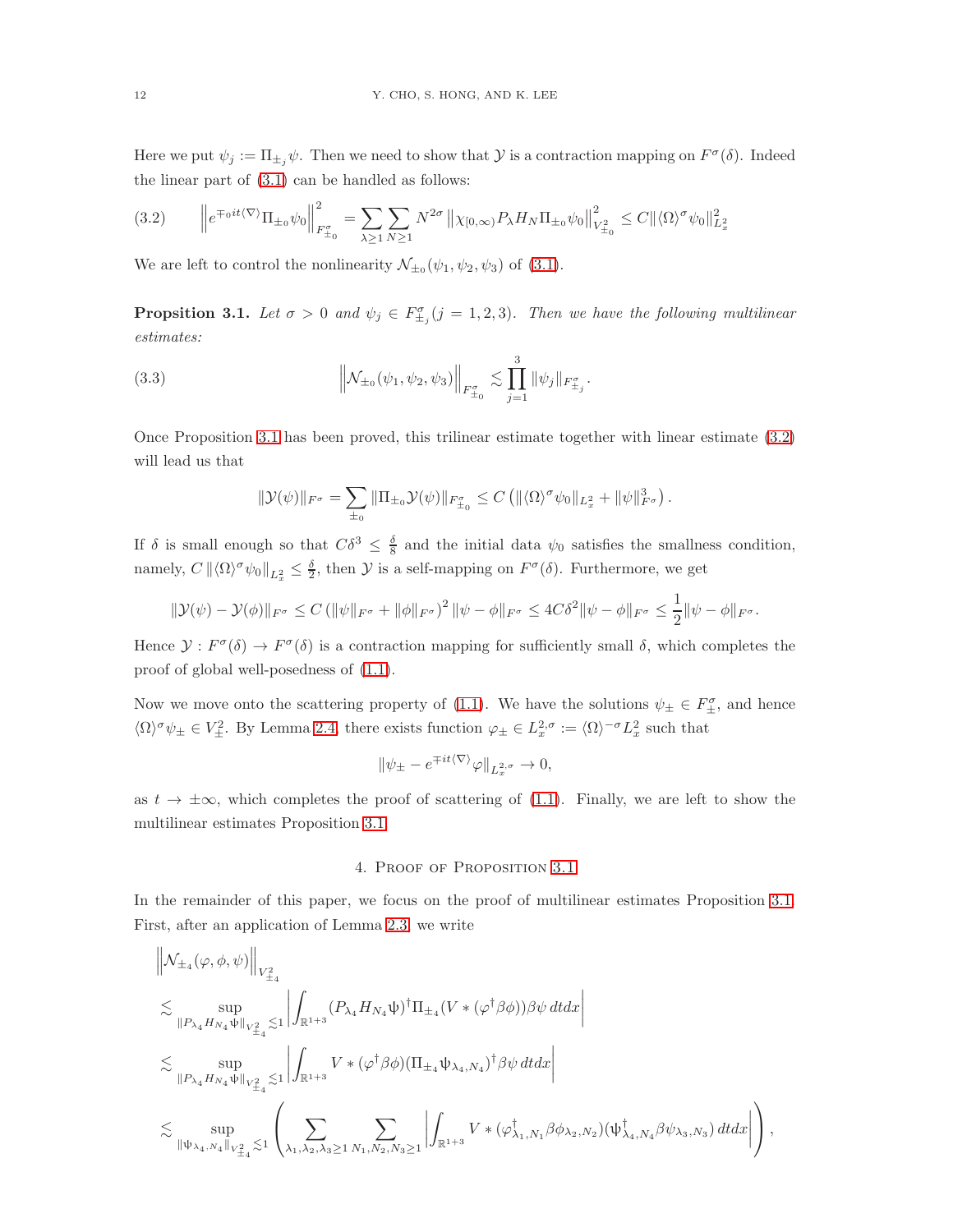Here we put  $\psi_j := \prod_{\pm_j} \psi$ . Then we need to show that  $\mathcal Y$  is a contraction mapping on  $F^\sigma(\delta)$ . Indeed the linear part of [\(3.1\)](#page-10-1) can be handled as follows:

<span id="page-11-1"></span>
$$
(3.2) \qquad \left\| e^{\mp_0 it \langle \nabla \rangle} \Pi_{\pm_0} \psi_0 \right\|_{F_{\pm_0}^{\sigma}}^2 = \sum_{\lambda \ge 1} \sum_{N \ge 1} N^{2\sigma} \left\| \chi_{[0,\infty)} P_{\lambda} H_N \Pi_{\pm_0} \psi_0 \right\|_{V_{\pm_0}^2}^2 \le C \| \langle \Omega \rangle^{\sigma} \psi_0 \|_{L_x^2}^2
$$

We are left to control the nonlinearity  $\mathcal{N}_{\pm_0}(\psi_1, \psi_2, \psi_3)$  of [\(3.1\)](#page-10-1).

<span id="page-11-0"></span>**Propsition 3.1.** Let  $\sigma > 0$  and  $\psi_j \in F_{\pm_j}^{\sigma}$   $(j = 1, 2, 3)$ . Then we have the following multilinear *estimates:*

(3.3) 
$$
\left\| \mathcal{N}_{\pm_0}(\psi_1, \psi_2, \psi_3) \right\|_{F_{\pm_0}^{\sigma}} \lesssim \prod_{j=1}^3 \|\psi_j\|_{F_{\pm_j}^{\sigma}}.
$$

Once Proposition [3.1](#page-11-0) has been proved, this trilinear estimate together with linear estimate [\(3.2\)](#page-11-1) will lead us that

$$
\|\mathcal{Y}(\psi)\|_{F^{\sigma}} = \sum_{\pm_0} \|\Pi_{\pm_0} \mathcal{Y}(\psi)\|_{F^{\sigma}_{\pm_0}} \leq C \left( \|\langle \Omega \rangle^{\sigma} \psi_0\|_{L^2_x} + \|\psi\|_{F^{\sigma}}^3 \right).
$$

If  $\delta$  is small enough so that  $C\delta^3 \leq \frac{\delta}{8}$  and the initial data  $\psi_0$  satisfies the smallness condition, namely,  $C \|\langle \Omega \rangle^{\sigma} \psi_0\|_{L_x^2} \leq \frac{\delta}{2}$ , then  $\mathcal Y$  is a self-mapping on  $F^{\sigma}(\delta)$ . Furthermore, we get

$$
\|\mathcal{Y}(\psi) - \mathcal{Y}(\phi)\|_{F^{\sigma}} \leq C \left( \|\psi\|_{F^{\sigma}} + \|\phi\|_{F^{\sigma}} \right)^2 \|\psi - \phi\|_{F^{\sigma}} \leq 4C\delta^2 \|\psi - \phi\|_{F^{\sigma}} \leq \frac{1}{2} \|\psi - \phi\|_{F^{\sigma}}.
$$

Hence  $\mathcal{Y}: F^{\sigma}(\delta) \to F^{\sigma}(\delta)$  is a contraction mapping for sufficiently small  $\delta$ , which completes the proof of global well-posedness of [\(1.1\)](#page-0-0).

Now we move onto the scattering property of [\(1.1\)](#page-0-0). We have the solutions  $\psi_{\pm} \in F_{\pm}^{\sigma}$ , and hence  $\langle \Omega \rangle^{\sigma} \psi_{\pm} \in V_{\pm}^{2}$ . By Lemma [2.4,](#page-8-2) there exists function  $\varphi_{\pm} \in L_{x}^{2,\sigma} := \langle \Omega \rangle^{-\sigma} L_{x}^{2}$  such that

$$
\|\psi_{\pm} - e^{\mp it\langle \nabla \rangle} \varphi\|_{L_x^{2,\sigma}} \to 0,
$$

as  $t \to \pm \infty$ , which completes the proof of scattering of [\(1.1\)](#page-0-0). Finally, we are left to show the multilinear estimates Proposition [3.1.](#page-11-0)

# 4. Proof of Proposition [3.1](#page-11-0)

In the remainder of this paper, we focus on the proof of multilinear estimates Proposition [3.1.](#page-11-0) First, after an application of Lemma [2.3,](#page-7-0) we write

 $\mathbf{u}$ 

$$
\begin{aligned}&\left\|\mathcal{N}_{\pm_{4}}(\varphi,\phi,\psi)\right\|_{V^{2}_{\pm_{4}}}\\&\lesssim\sup_{\left\|P_{\lambda_{4}}H_{N_{4}}\psi\right\|_{V^{2}_{\pm_{4}}}\lesssim1}\left|\int_{\mathbb{R}^{1+3}}(P_{\lambda_{4}}H_{N_{4}}\psi)^{\dagger}\Pi_{\pm_{4}}(V*(\varphi^{\dagger}\beta\phi))\beta\psi\,dtdx\right|\\&\lesssim\sup_{\left\|P_{\lambda_{4}}H_{N_{4}}\psi\right\|_{V^{2}_{\pm_{4}}}\lesssim1}\left|\int_{\mathbb{R}^{1+3}}V*(\varphi^{\dagger}\beta\phi)(\Pi_{\pm_{4}}\psi_{\lambda_{4},N_{4}})^{\dagger}\beta\psi\,dtdx\right|\\&\lesssim\sup_{\left\|\psi_{\lambda_{4},N_{4}}\right\|_{V^{2}_{\pm_{4}}}\lesssim1}\left(\sum_{\lambda_{1},\lambda_{2},\lambda_{3}\geq1}\sum_{N_{1},N_{2},N_{3}\geq1}\left|\int_{\mathbb{R}^{1+3}}V*(\varphi^{\dagger}_{\lambda_{1},N_{1}}\beta\phi_{\lambda_{2},N_{2}})(\psi^{\dagger}_{\lambda_{4},N_{4}}\beta\psi_{\lambda_{3},N_{3}})\,dtdx\right|\right),\end{aligned}
$$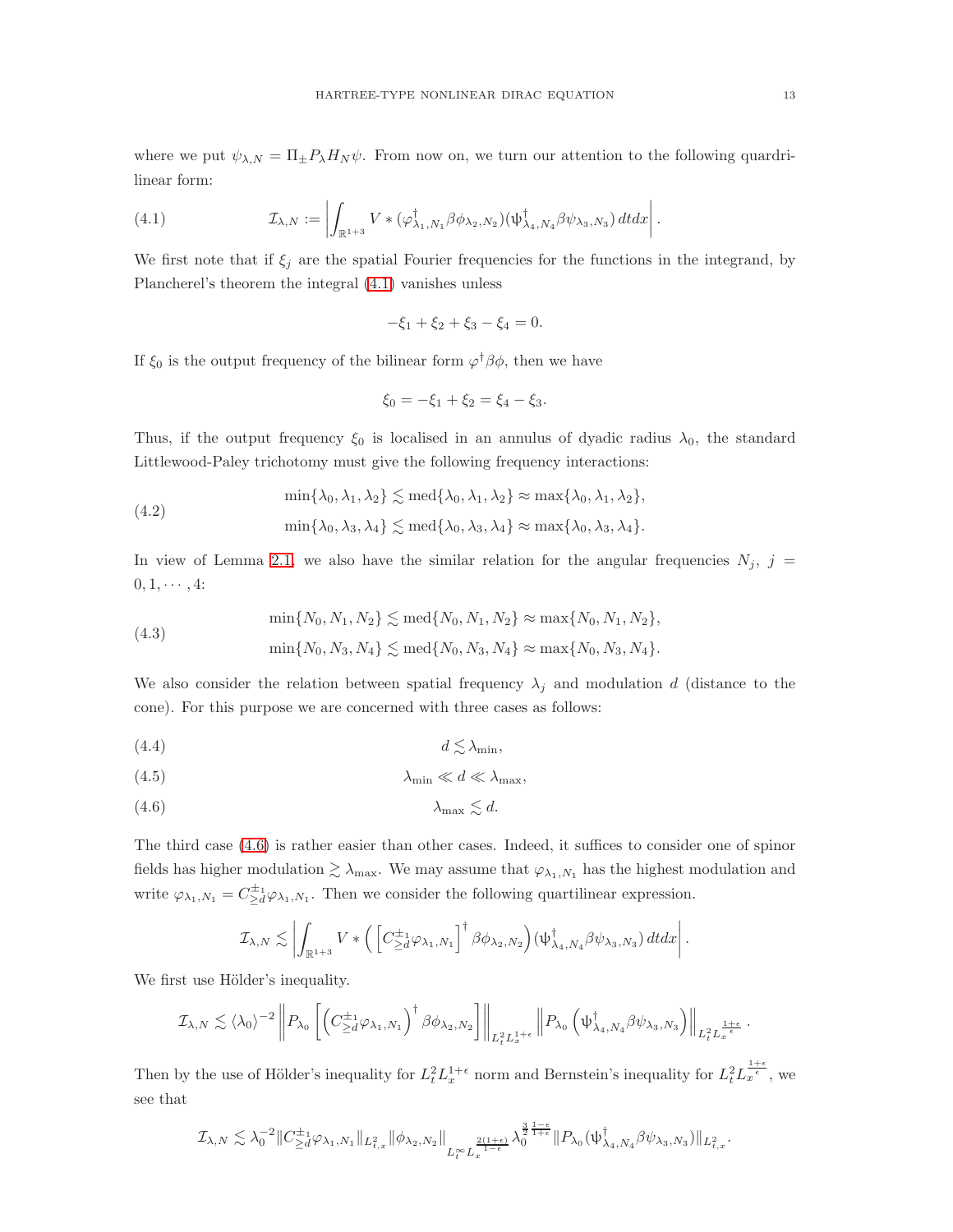where we put  $\psi_{\lambda,N} = \Pi_{\pm}P_{\lambda}H_{N}\psi$ . From now on, we turn our attention to the following quardrilinear form:

<span id="page-12-0"></span>(4.1) 
$$
\mathcal{I}_{\lambda,N} := \left| \int_{\mathbb{R}^{1+3}} V * (\varphi_{\lambda_1,N_1}^{\dagger} \beta \phi_{\lambda_2,N_2}) (\psi_{\lambda_4,N_4}^{\dagger} \beta \psi_{\lambda_3,N_3}) dt dx \right|.
$$

We first note that if  $\xi_j$  are the spatial Fourier frequencies for the functions in the integrand, by Plancherel's theorem the integral [\(4.1\)](#page-12-0) vanishes unless

$$
-\xi_1 + \xi_2 + \xi_3 - \xi_4 = 0.
$$

If  $\xi_0$  is the output frequency of the bilinear form  $\varphi^{\dagger} \beta \phi$ , then we have

$$
\xi_0 = -\xi_1 + \xi_2 = \xi_4 - \xi_3.
$$

Thus, if the output frequency  $\xi_0$  is localised in an annulus of dyadic radius  $\lambda_0$ , the standard Littlewood-Paley trichotomy must give the following frequency interactions:

$$
\min\{\lambda_0, \lambda_1, \lambda_2\} \lesssim \text{med}\{\lambda_0, \lambda_1, \lambda_2\} \approx \max\{\lambda_0, \lambda_1, \lambda_2\},
$$

$$
\min\{\lambda_0, \lambda_3, \lambda_4\} \lesssim \text{med}\{\lambda_0, \lambda_3, \lambda_4\} \approx \max\{\lambda_0, \lambda_3, \lambda_4\}.
$$

In view of Lemma [2.1,](#page-7-2) we also have the similar relation for the angular frequencies  $N_j$ , j =  $0, 1, \cdots, 4$ :

(4.3) 
$$
\min\{N_0, N_1, N_2\} \lesssim \text{med}\{N_0, N_1, N_2\} \approx \max\{N_0, N_1, N_2\},
$$

$$
\min\{N_0, N_3, N_4\} \lesssim \text{med}\{N_0, N_3, N_4\} \approx \max\{N_0, N_3, N_4\}.
$$

We also consider the relation between spatial frequency  $\lambda_j$  and modulation d (distance to the cone). For this purpose we are concerned with three cases as follows:

<span id="page-12-2"></span>
$$
d \lesssim \lambda_{\min},
$$

<span id="page-12-3"></span>
$$
\lambda_{\min} \ll d \ll \lambda_{\max},
$$

<span id="page-12-1"></span>
$$
\lambda_{\max} \lesssim d.
$$

The third case [\(4.6\)](#page-12-1) is rather easier than other cases. Indeed, it suffices to consider one of spinor fields has higher modulation  $\gtrsim \lambda_{\text{max}}$ . We may assume that  $\varphi_{\lambda_1,N_1}$  has the highest modulation and write  $\varphi_{\lambda_1,N_1} = C_{\geq d}^{\pm 1} \varphi_{\lambda_1,N_1}$ . Then we consider the following quartilinear expression.

$$
\mathcal{I}_{\lambda,N}\lesssim \left|\int_{\mathbb{R}^{1+3}}V\ast\Big(\left[C^{\pm_1}_{\ge d}\varphi_{\lambda_1,N_1}\right]^\dagger\beta\phi_{\lambda_2,N_2}\Big)(\psi^\dagger_{\lambda_4,N_4}\beta\psi_{\lambda_3,N_3})\,dtdx\right|.
$$

We first use Hölder's inequality.

$$
\mathcal{I}_{\lambda,N} \lesssim \langle \lambda_0 \rangle^{-2} \left\| P_{\lambda_0} \left[ \left( C^{\pm_1}_{\geq d} \varphi_{\lambda_1,N_1} \right)^{\dagger} \beta \phi_{\lambda_2,N_2} \right] \right\|_{L^2_t L^{1+\epsilon}_x} \left\| P_{\lambda_0} \left( \psi^\dagger_{\lambda_4,N_4} \beta \psi_{\lambda_3,N_3} \right) \right\|_{L^2_t L^{\frac{1+\epsilon}{\epsilon}}_x}.
$$

Then by the use of Hölder's inequality for  $L_t^2 L_x^{1+\epsilon}$  norm and Bernstein's inequality for  $L_t^2 L_x^{\frac{1+\epsilon}{\epsilon}}$ , we see that

$$
\mathcal{I}_{\lambda,N} \lesssim \lambda_0^{-2} \|C^{\pm_1}_{\geq d} \varphi_{\lambda_1,N_1}\|_{L^2_{t,x}} \|\phi_{\lambda_2,N_2}\|_{L^\infty_t L^{\frac{2(1+\epsilon)}{1-\epsilon}}_x} \lambda_0^{\frac{3}{2}\frac{1-\epsilon}{1+\epsilon}} \|P_{\lambda_0}(\psi^\dagger_{\lambda_4,N_4} \beta \psi_{\lambda_3,N_3})\|_{L^2_{t,x}}.
$$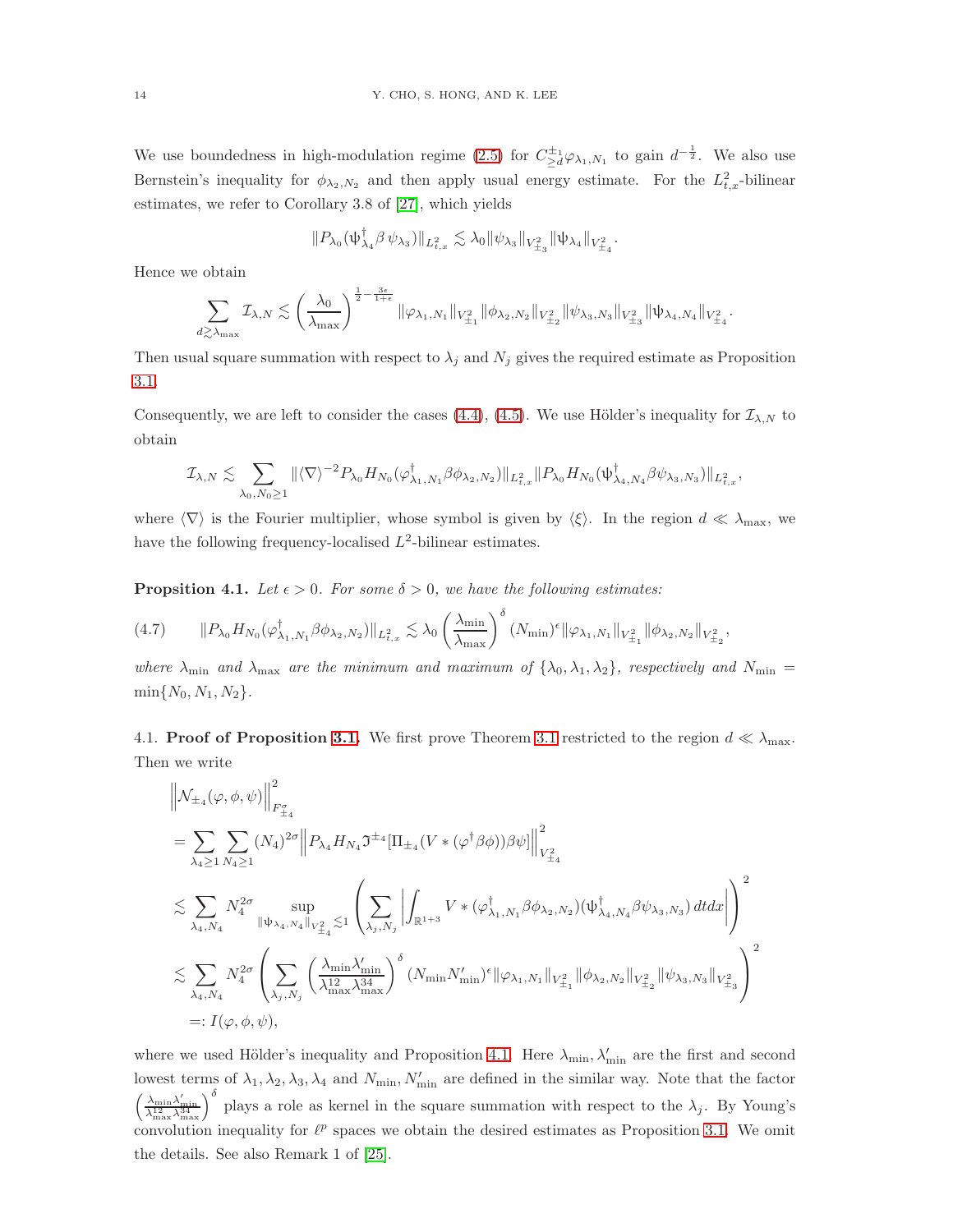We use boundedness in high-modulation regime [\(2.5\)](#page-7-1) for  $C_{\geq d}^{\pm_1}\varphi_{\lambda_1,N_1}$  to gain  $d^{-\frac{1}{2}}$ . We also use Bernstein's inequality for  $\phi_{\lambda_2, N_2}$  and then apply usual energy estimate. For the  $L^2_{t,x}$ -bilinear estimates, we refer to Corollary 3.8 of [\[27\]](#page-23-1), which yields

$$
||P_{\lambda_0}(\psi_{\lambda_4}^{\dagger}\beta\psi_{\lambda_3})||_{L^2_{t,x}} \lesssim \lambda_0 ||\psi_{\lambda_3}||_{V^2_{\pm_3}} ||\psi_{\lambda_4}||_{V^2_{\pm_4}}.
$$

Hence we obtain

$$
\sum_{d\gtrsim\lambda_{\max}}\mathcal{I}_{\lambda,N}\lesssim \left(\frac{\lambda_0}{\lambda_{\max}}\right)^{\frac{1}{2}-\frac{3\epsilon}{1+\epsilon}}\|\varphi_{\lambda_1,N_1}\|_{V^2_{\pm_1}}\|\phi_{\lambda_2,N_2}\|_{V^2_{\pm_2}}\|\psi_{\lambda_3,N_3}\|_{V^2_{\pm_3}}\|\psi_{\lambda_4,N_4}\|_{V^2_{\pm_4}}.
$$

Then usual square summation with respect to  $\lambda_j$  and  $N_j$  gives the required estimate as Proposition [3.1.](#page-11-0)

Consequently, we are left to consider the cases [\(4.4\)](#page-12-2), [\(4.5\)](#page-12-3). We use Hölder's inequality for  $\mathcal{I}_{\lambda,N}$  to obtain

$$
\mathcal{I}_{\lambda,N}\lesssim \sum_{\lambda_0,N_0\geq 1}\|\langle\nabla\rangle^{-2}P_{\lambda_0}H_{N_0}(\varphi^\dagger_{\lambda_1,N_1}\beta\phi_{\lambda_2,N_2})\|_{L^2_{t,x}}\|P_{\lambda_0}H_{N_0}(\psi^\dagger_{\lambda_4,N_4}\beta\psi_{\lambda_3,N_3})\|_{L^2_{t,x}},
$$

where  $\langle \nabla \rangle$  is the Fourier multiplier, whose symbol is given by  $\langle \xi \rangle$ . In the region  $d \ll \lambda_{\text{max}}$ , we have the following frequency-localised  $L^2$ -bilinear estimates.

<span id="page-13-0"></span>**Propsition 4.1.** *Let*  $\epsilon > 0$ *. For some*  $\delta > 0$ *, we have the following estimates:* 

$$
(4.7) \qquad \|P_{\lambda_0} H_{N_0}(\varphi_{\lambda_1,N_1}^{\dagger} \beta \phi_{\lambda_2,N_2})\|_{L^2_{t,x}} \lesssim \lambda_0 \left(\frac{\lambda_{\min}}{\lambda_{\max}}\right)^{\delta} (N_{\min})^{\epsilon} \|\varphi_{\lambda_1,N_1}\|_{V^2_{\pm_1}} \|\phi_{\lambda_2,N_2}\|_{V^2_{\pm_2}},
$$

*where*  $\lambda_{\min}$  *and*  $\lambda_{\max}$  *are the minimum and maximum of*  $\{\lambda_0, \lambda_1, \lambda_2\}$ *, respectively and*  $N_{\min}$  =  $\min\{N_0, N_1, N_2\}.$ 

4.1. **Proof of Proposition [3.1.](#page-11-0)** We first prove Theorem [3.1](#page-11-0) restricted to the region  $d \ll \lambda_{\text{max}}$ . Then we write

$$
\label{eq:3.10} \begin{split} &\left\|\mathcal{N}_{\pm_{4}}(\varphi,\phi,\psi)\right\|_{F_{\pm_{4}}^{ \sigma }}^{2}\\ &=\sum_{\lambda_{4}\geq1}\sum_{N_{4}\geq1}\left(N_{4}\right)^{2\sigma}\left\|P_{\lambda_{4}}H_{N_{4}}\mathfrak{I}^{\pm_{4}}[\Pi_{\pm_{4}}(V*(\varphi^{\dagger}\beta\phi))\beta\psi]\right\|_{V_{\pm_{4}}^{ 2}}^{2}\\ &\lesssim\sum_{\lambda_{4},N_{4}}N_{4}^{2\sigma}\sup_{\left\|\psi_{\lambda_{4},N_{4}}\right\|_{V_{\pm_{4}}^{ 2}}\lesssim1}\left(\sum_{\lambda_{j},N_{j}}\left|\int_{\mathbb{R}^{1+3}}V*(\varphi^{\dagger}_{\lambda_{1},N_{1}}\beta\phi_{\lambda_{2},N_{2}})(\psi^{\dagger}_{\lambda_{4},N_{4}}\beta\psi_{\lambda_{3},N_{3}})\,dtdx\right|\right)^{2}\\ &\lesssim\sum_{\lambda_{4},N_{4}}N_{4}^{2\sigma}\left(\sum_{\lambda_{j},N_{j}}\left(\frac{\lambda_{\min}\lambda'_{\min}}{\lambda_{\max}^{1-2\alpha}\lambda_{\max}^{3\alpha}}\right)^{\delta}\left(N_{\min}N'_{\min}\right)^{\epsilon}\|\varphi_{\lambda_{1},N_{1}}\|_{V_{\pm_{1}}^{ 2}}\|\phi_{\lambda_{2},N_{2}}\|_{V_{\pm_{2}}^{ 2}}\|\psi_{\lambda_{3},N_{3}}\|_{V_{\pm_{3}}^{ 2}}\right)^{2}\\ &=:I(\varphi,\phi,\psi), \end{split}
$$

where we used Hölder's inequality and Proposition [4.1.](#page-13-0) Here  $\lambda_{\min}, \lambda'_{\min}$  are the first and second lowest terms of  $\lambda_1, \lambda_2, \lambda_3, \lambda_4$  and  $N_{\min}, N'_{\min}$  are defined in the similar way. Note that the factor  $\left(\frac{\lambda_{\min}\lambda'_{\min}}{\lambda_{\max}^{124}\lambda_{\max}^{34}}\right)^{\delta}$  plays a role as kernel in the square summation with respect to the  $\lambda_j$ . By Young's convolution inequality for  $\ell^p$  spaces we obtain the desired estimates as Proposition [3.1.](#page-11-0) We omit the details. See also Remark 1 of [\[25\]](#page-23-0).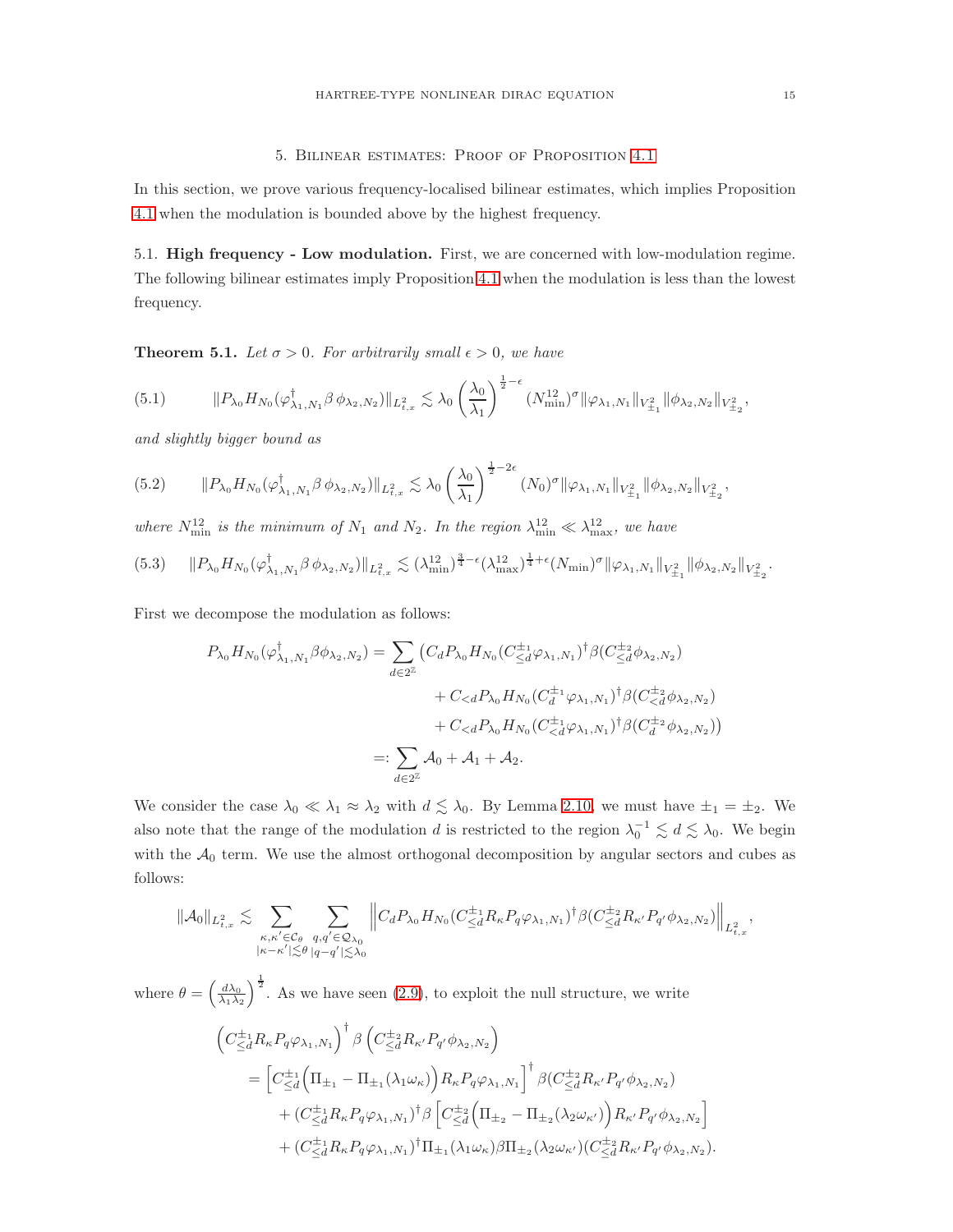### 5. Bilinear estimates: Proof of Proposition [4.1](#page-13-0)

In this section, we prove various frequency-localised bilinear estimates, which implies Proposition [4.1](#page-13-0) when the modulation is bounded above by the highest frequency.

5.1. High frequency - Low modulation. First, we are concerned with low-modulation regime. The following bilinear estimates imply Proposition [4.1](#page-13-0) when the modulation is less than the lowest frequency.

**Theorem 5.1.** *Let*  $\sigma > 0$ *. For arbitrarily small*  $\epsilon > 0$ *, we have* 

<span id="page-14-0"></span>
$$
(5.1) \t\t\t ||P_{\lambda_0}H_{N_0}(\varphi^{\dagger}_{\lambda_1,N_1}\beta \phi_{\lambda_2,N_2})||_{L^2_{t,x}} \lesssim \lambda_0 \left(\frac{\lambda_0}{\lambda_1}\right)^{\frac{1}{2}-\epsilon} (N_{\min}^{12})^{\sigma} ||\varphi_{\lambda_1,N_1}||_{V^2_{\pm_1}} ||\phi_{\lambda_2,N_2}||_{V^2_{\pm_2}},
$$

*and slightly bigger bound as*

<span id="page-14-1"></span>
$$
(5.2) \qquad \|P_{\lambda_0} H_{N_0}(\varphi_{\lambda_1,N_1}^{\dagger} \beta \phi_{\lambda_2,N_2})\|_{L^2_{t,x}} \lesssim \lambda_0 \left(\frac{\lambda_0}{\lambda_1}\right)^{\frac{1}{2}-2\epsilon} (N_0)^{\sigma} \|\varphi_{\lambda_1,N_1}\|_{V^2_{\pm_1}} \|\phi_{\lambda_2,N_2}\|_{V^2_{\pm_2}},
$$

where  $N_{\min}^{12}$  is the minimum of  $N_1$  and  $N_2$ . In the region  $\lambda_{\min}^{12} \ll \lambda_{\max}^{12}$ , we have

<span id="page-14-2"></span>
$$
(5.3) \qquad \|P_{\lambda_0} H_{N_0}(\varphi_{\lambda_1, N_1}^{\dagger} \beta \phi_{\lambda_2, N_2})\|_{L^2_{t,x}} \lesssim (\lambda_{\min}^{12})^{\frac{3}{4}-\epsilon} (\lambda_{\max}^{12})^{\frac{1}{4}+\epsilon} (N_{\min})^{\sigma} \|\varphi_{\lambda_1, N_1}\|_{V^2_{\pm_1}} \|\phi_{\lambda_2, N_2}\|_{V^2_{\pm_2}}.
$$

First we decompose the modulation as follows:

$$
P_{\lambda_0} H_{N_0}(\varphi^{\dagger}_{\lambda_1, N_1} \beta \phi_{\lambda_2, N_2}) = \sum_{d \in 2^{\mathbb{Z}}} \left( C_d P_{\lambda_0} H_{N_0} (C_{\leq d}^{\pm_1} \varphi_{\lambda_1, N_1})^{\dagger} \beta (C_{\leq d}^{\pm_2} \phi_{\lambda_2, N_2}) \right. \\
\left. + C_{\n
$$
=: \sum_{d \in 2^{\mathbb{Z}}} \mathcal{A}_0 + \mathcal{A}_1 + \mathcal{A}_2.
$$
$$

We consider the case  $\lambda_0 \ll \lambda_1 \approx \lambda_2$  with  $d \lesssim \lambda_0$ . By Lemma [2.10,](#page-10-2) we must have  $\pm_1 = \pm_2$ . We also note that the range of the modulation d is restricted to the region  $\lambda_0^{-1} \lesssim d \lesssim \lambda_0$ . We begin with the  $A_0$  term. We use the almost orthogonal decomposition by angular sectors and cubes as follows:

$$
\|\mathcal{A}_0\|_{L^2_{t,x}} \lesssim \sum_{\substack{\kappa,\kappa' \in \mathcal{C}_\theta\\|\kappa - \kappa'| \lesssim \theta}}\sum_{\substack{q,q' \in \mathcal{Q}_{\lambda_0}\\|q-q'|\lesssim \lambda_0}}\Big\|C_dP_{\lambda_0}H_{N_0}(C^{\pm_1}_{\le d}R_{\kappa}P_q\varphi_{\lambda_1,N_1})^{\dagger}\beta(C^{\pm_2}_{\le d}R_{\kappa'}P_{q'}\phi_{\lambda_2,N_2})\Big\|_{L^2_{t,x}},
$$

where  $\theta = \left(\frac{d\lambda_0}{\lambda_1 \lambda_2}\right)$  $\int_{0}^{\frac{1}{2}}$ . As we have seen [\(2.9\)](#page-8-0), to exploit the null structure, we write  $\left(C^{\pm 1}_{\leq d}R_{\kappa}P_q\varphi_{\lambda_1,N_1}\right)^{\dagger}\beta\left(C^{\pm 2}_{\leq d}R_{\kappa'}P_{q'}\phi_{\lambda_2,N_2}\right)$  $=\Big[C^{\pm_1}_{\le d}\Big(\Pi_{\pm_1}-\Pi_{\pm_1}(\lambda_1\omega_\kappa)\Big)R_\kappa P_q\varphi_{\lambda_1,N_1}\Big]^\dagger\,\beta(C^{\pm_2}_{\le d}R_{\kappa'}P_{q'}\phi_{\lambda_2,N_2})$  $+\left(C^{\pm_1}_{\leq d}R_{\kappa}P_q\varphi_{\lambda_1,N_1}\right)^{\dagger}\beta \left[C^{\pm_2}_{\leq d}\Big(\Pi_{\pm_2}-\Pi_{\pm_2}(\lambda_2\omega_{\kappa'})\Big)R_{\kappa'}P_{q'}\phi_{\lambda_2,N_2}\right]$  $+ (C_{\leq d}^{\pm_1} R_{\kappa} P_q \varphi_{\lambda_1, N_1})^{\dagger} \Pi_{\pm_1} (\lambda_1 \omega_{\kappa}) \beta \Pi_{\pm_2} (\lambda_2 \omega_{\kappa'}) (C_{\leq d}^{\pm_2} R_{\kappa'} P_{q'} \phi_{\lambda_2, N_2}).$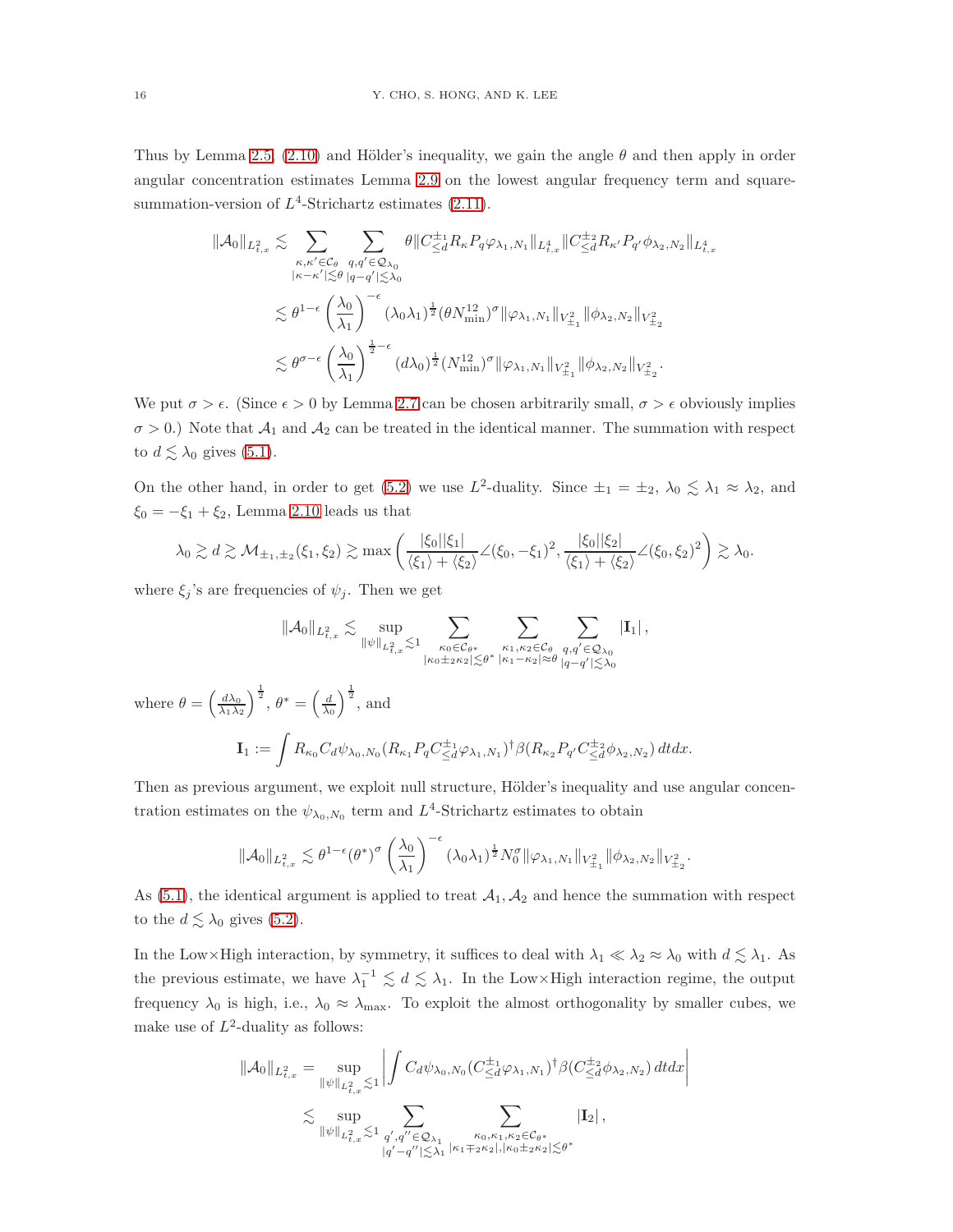Thus by Lemma [2.5,](#page-8-3) [\(2.10\)](#page-8-4) and Hölder's inequality, we gain the angle  $\theta$  and then apply in order angular concentration estimates Lemma [2.9](#page-9-1) on the lowest angular frequency term and squaresummation-version of  $L^4$ -Strichartz estimates  $(2.11)$ .

$$
\begin{split} \|\mathcal{A}_0\|_{L^2_{t,x}} &\lesssim \sum_{\kappa,\kappa'\in\mathcal{C}_\theta} \sum_{q,q'\in\mathcal{Q}_{\lambda_0}} \theta \|C^{\pm_1}_{\leq d}R_\kappa P_q\varphi_{\lambda_1,N_1}\|_{L^4_{t,x}} \|C^{\pm_2}_{\leq d}R_{\kappa'} P_{q'}\phi_{\lambda_2,N_2}\|_{L^4_{t,x}} \\ &\lesssim \theta^{1-\epsilon}\left(\frac{\lambda_0}{\lambda_1}\right)^{-\epsilon}(\lambda_0\lambda_1)^{\frac{1}{2}}(\theta N^{12}_{\min})^\sigma \|\varphi_{\lambda_1,N_1}\|_{V^2_{\pm_1}} \|\phi_{\lambda_2,N_2}\|_{V^2_{\pm_2}} \\ &\lesssim \theta^{\sigma-\epsilon}\left(\frac{\lambda_0}{\lambda_1}\right)^{\frac{1}{2}-\epsilon} (d\lambda_0)^{\frac{1}{2}}(N^{12}_{\min})^\sigma \|\varphi_{\lambda_1,N_1}\|_{V^2_{\pm_1}} \|\phi_{\lambda_2,N_2}\|_{V^2_{\pm_2}}. \end{split}
$$

We put  $\sigma > \epsilon$ . (Since  $\epsilon > 0$  by Lemma [2.7](#page-9-0) can be chosen arbitrarily small,  $\sigma > \epsilon$  obviously implies  $\sigma > 0$ .) Note that  $\mathcal{A}_1$  and  $\mathcal{A}_2$  can be treated in the identical manner. The summation with respect to  $d \lesssim \lambda_0$  gives [\(5.1\)](#page-14-0).

On the other hand, in order to get [\(5.2\)](#page-14-1) we use  $L^2$ -duality. Since  $\pm_1 = \pm_2$ ,  $\lambda_0 \leq \lambda_1 \approx \lambda_2$ , and  $\xi_0 = -\xi_1 + \xi_2$ , Lemma [2.10](#page-10-2) leads us that

$$
\lambda_0 \gtrsim d \gtrsim \mathcal{M}_{\pm_1,\pm_2}(\xi_1,\xi_2) \gtrsim \max\left(\frac{|\xi_0||\xi_1|}{\langle \xi_1 \rangle + \langle \xi_2 \rangle} \angle(\xi_0,-\xi_1)^2,\frac{|\xi_0||\xi_2|}{\langle \xi_1 \rangle + \langle \xi_2 \rangle} \angle(\xi_0,\xi_2)^2\right) \gtrsim \lambda_0.
$$

where  $\xi_j$ 's are frequencies of  $\psi_j$ . Then we get

$$
\|\mathcal{A}_0\|_{L^2_{t,x}} \lesssim \sup_{\left\|\psi\right\|_{L^2_{t,x}} \lesssim 1} \sum_{\kappa_0 \in \mathcal{C}_{\theta^*} \atop{\left|\kappa_0 \pm_2 \kappa_2\right| \lesssim \theta^*}} \sum_{\kappa_1,\kappa_2 \in \mathcal{C}_{\theta}} \sum_{\substack{q,q' \in \mathcal{Q}_{\lambda_0} \\ q-q' \mid \lesssim \lambda_0}} \left| \mathbf{I}_1 \right|,
$$

where  $\theta = \left(\frac{d\lambda_0}{\lambda_1 \lambda_2}\right)$  $\int^{\frac{1}{2}},\,\theta^*=\left(\frac{d}{\lambda_0}\right)$  $\int^{\frac{1}{2}}$ , and  $\mathbf{I}_1 := \int R_{\kappa_0} C_d \psi_{\lambda_0, N_0} (R_{\kappa_1} P_q C_{\leq d}^{\pm_1} \varphi_{\lambda_1, N_1})^{\dagger} \beta (R_{\kappa_2} P_{q'} C_{\leq d}^{\pm_2} \phi_{\lambda_2, N_2}) dt dx.$ 

Then as previous argument, we exploit null structure, Hölder's inequality and use angular concentration estimates on the  $\psi_{\lambda_0, N_0}$  term and  $L^4$ -Strichartz estimates to obtain

$$
\|\mathcal{A}_0\|_{L^2_{t,x}} \lesssim \theta^{1-\epsilon}(\theta^*)^\sigma \left(\frac{\lambda_0}{\lambda_1}\right)^{-\epsilon} (\lambda_0\lambda_1)^{\frac{1}{2}} N_0^\sigma \|\varphi_{\lambda_1,N_1}\|_{V^2_{\pm_1}} \|\phi_{\lambda_2,N_2}\|_{V^2_{\pm_2}}.
$$

As  $(5.1)$ , the identical argument is applied to treat  $\mathcal{A}_1, \mathcal{A}_2$  and hence the summation with respect to the  $d \lesssim \lambda_0$  gives [\(5.2\)](#page-14-1).

In the Low×High interaction, by symmetry, it suffices to deal with  $\lambda_1 \ll \lambda_2 \approx \lambda_0$  with  $d \lesssim \lambda_1$ . As the previous estimate, we have  $\lambda_1^{-1} \leq d \leq \lambda_1$ . In the Low×High interaction regime, the output frequency  $\lambda_0$  is high, i.e.,  $\lambda_0 \approx \lambda_{\text{max}}$ . To exploit the almost orthogonality by smaller cubes, we make use of  $L^2$ -duality as follows:

$$
\begin{aligned} \|\mathcal{A}_0\|_{L^2_{t,x}} &= \sup_{\|\psi\|_{L^2_{t,x}} \lesssim 1} \left| \int C_d \psi_{\lambda_0,N_0} (C^{\pm_1}_{\le d} \varphi_{\lambda_1,N_1})^{\dagger} \beta(C^{\pm_2}_{\le d} \phi_{\lambda_2,N_2}) \, dtdx \right| \\ &\lesssim \sup_{\|\psi\|_{L^2_{t,x}} \lesssim 1} \sum_{\substack{q',q'' \in \mathcal{Q}_{\lambda_1} \\ |q'-q''| \lesssim \lambda_1}} \sum_{\substack{\kappa_0,\kappa_1,\kappa_2 \in \mathcal{C}_{\theta^*} \\ |\kappa_0 \pm_2 \kappa_2|, |\kappa_0 \pm_2 \kappa_2| \lesssim \theta^*}} |\mathrm{I}_2| \, , \end{aligned}
$$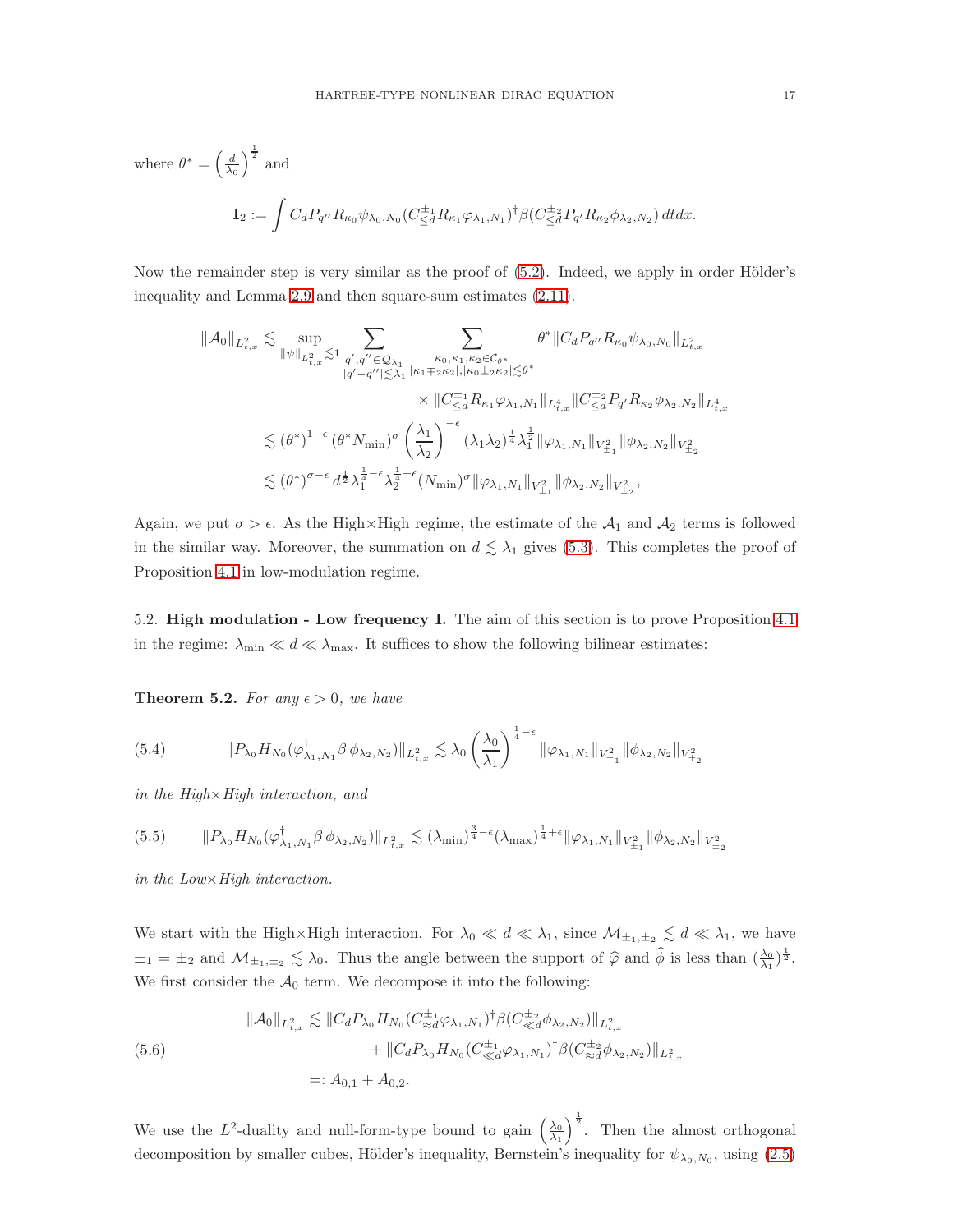where 
$$
\theta^* = \left(\frac{d}{\lambda_0}\right)^{\frac{1}{2}}
$$
 and  
\n
$$
\mathbf{I}_2 := \int C_d P_{q''} R_{\kappa_0} \psi_{\lambda_0, N_0} (C_{\leq d}^{\pm_1} R_{\kappa_1} \varphi_{\lambda_1, N_1})^{\dagger} \beta (C_{\leq d}^{\pm_2} P_{q'} R_{\kappa_2} \phi_{\lambda_2, N_2}) dt dx.
$$

Now the remainder step is very similar as the proof of  $(5.2)$ . Indeed, we apply in order Hölder's inequality and Lemma [2.9](#page-9-1) and then square-sum estimates [\(2.11\)](#page-9-2).

$$
\begin{split} \|\mathcal{A}_0\|_{L^2_{t,x}} \lesssim & \sup_{\|\psi\|_{L^2_{t,x}} \lesssim 1} \sum_{q',q'' \in \mathcal{Q}_{\lambda_1}} \sum_{\kappa_0,\kappa_1,\kappa_2 \in \mathcal{C}_{\theta^*}} \theta^* \|C_d P_{q''} R_{\kappa_0} \psi_{\lambda_0,N_0}\|_{L^2_{t,x}} \\ & \qquad \qquad \times \|C_{\leq d}^{\pm 1} R_{\kappa_1} \varphi_{\lambda_1,N_1}\|_{L^4_{t,x}} \|C_{\leq d}^{\pm 2} P_{q'} R_{\kappa_2} \phi_{\lambda_2,N_2}\|_{L^4_{t,x}} \\ & \qquad \qquad \times \|C_{\leq d}^{\pm 1} R_{\kappa_1} \varphi_{\lambda_1,N_1}\|_{L^4_{t,x}} \|C_{\leq d}^{\pm 2} P_{q'} R_{\kappa_2} \phi_{\lambda_2,N_2}\|_{L^4_{t,x}} \\ & \qquad \lesssim (\theta^*)^{1-\epsilon} \left(\theta^* N_{\min}\right)^{\sigma} \left(\frac{\lambda_1}{\lambda_2}\right)^{-\epsilon} (\lambda_1\lambda_2)^{\frac{1}{4}} \lambda_1^{\frac{1}{2}} \|\varphi_{\lambda_1,N_1}\|_{V^2_{\pm_1}} \|\phi_{\lambda_2,N_2}\|_{V^2_{\pm_2}} \\ & \qquad \lesssim (\theta^*)^{\sigma-\epsilon} \, d^{\frac{1}{2}} \lambda_1^{\frac{1}{4}-\epsilon} \lambda_2^{\frac{1}{4}+\epsilon} (N_{\min})^{\sigma} \|\varphi_{\lambda_1,N_1}\|_{V^2_{\pm_1}} \|\phi_{\lambda_2,N_2}\|_{V^2_{\pm_2}}, \end{split}
$$

Again, we put  $\sigma > \epsilon$ . As the High×High regime, the estimate of the  $\mathcal{A}_1$  and  $\mathcal{A}_2$  terms is followed in the similar way. Moreover, the summation on  $d \lesssim \lambda_1$  gives [\(5.3\)](#page-14-2). This completes the proof of Proposition [4.1](#page-13-0) in low-modulation regime.

5.2. High modulation - Low frequency I. The aim of this section is to prove Proposition [4.1](#page-13-0) in the regime:  $\lambda_{\min} \ll d \ll \lambda_{\max}$ . It suffices to show the following bilinear estimates:

**Theorem 5.2.** For any  $\epsilon > 0$ , we have

<span id="page-16-1"></span>
$$
(5.4) \t\t\t ||P_{\lambda_0}H_{N_0}(\varphi^{\dagger}_{\lambda_1,N_1}\beta \phi_{\lambda_2,N_2})||_{L^2_{t,x}} \lesssim \lambda_0 \left(\frac{\lambda_0}{\lambda_1}\right)^{\frac{1}{4}-\epsilon} ||\varphi_{\lambda_1,N_1}||_{V^2_{\pm_1}} ||\phi_{\lambda_2,N_2}||_{V^2_{\pm_2}}
$$

*in the High*×*High interaction, and*

$$
(5.5) \qquad \| P_{\lambda_0} H_{N_0} (\varphi^{\dagger}_{\lambda_1, N_1} \beta \, \phi_{\lambda_2, N_2}) \|_{L^2_{t,x}} \lesssim (\lambda_{\min})^{\frac{3}{4} - \epsilon} (\lambda_{\max})^{\frac{1}{4} + \epsilon} \| \varphi_{\lambda_1, N_1} \|_{V^2_{\pm_1}} \| \phi_{\lambda_2, N_2} \|_{V^2_{\pm_2}}
$$

*in the Low*×*High interaction.*

We start with the High×High interaction. For  $\lambda_0 \ll d \ll \lambda_1$ , since  $\mathcal{M}_{\pm_1,\pm_2} \lesssim d \ll \lambda_1$ , we have  $\pm_1 = \pm_2$  and  $\mathcal{M}_{\pm_1,\pm_2} \lesssim \lambda_0$ . Thus the angle between the support of  $\hat{\varphi}$  and  $\hat{\phi}$  is less than  $(\frac{\lambda_0}{\lambda_1})^{\frac{1}{2}}$ . We first consider the  $A_0$  term. We decompose it into the following:

<span id="page-16-0"></span>
$$
\|A_0\|_{L^2_{t,x}} \lesssim \|C_d P_{\lambda_0} H_{N_0} (C_{\ll d}^{\pm_1} \varphi_{\lambda_1, N_1})^\dagger \beta (C_{\ll d}^{\pm_2} \phi_{\lambda_2, N_2}) \|_{L^2_{t,x}} + \|C_d P_{\lambda_0} H_{N_0} (C_{\ll d}^{\pm_1} \varphi_{\lambda_1, N_1})^\dagger \beta (C_{\approx d}^{\pm_2} \phi_{\lambda_2, N_2}) \|_{L^2_{t,x}} =: A_{0,1} + A_{0,2}.
$$

We use the L<sup>2</sup>-duality and null-form-type bound to gain  $\left(\frac{\lambda_0}{\lambda_1}\right)$  $\int_{0}^{\frac{1}{2}}$ . Then the almost orthogonal decomposition by smaller cubes, Hölder's inequality, Bernstein's inequality for  $\psi_{\lambda_0,N_0}$ , using  $(2.5)$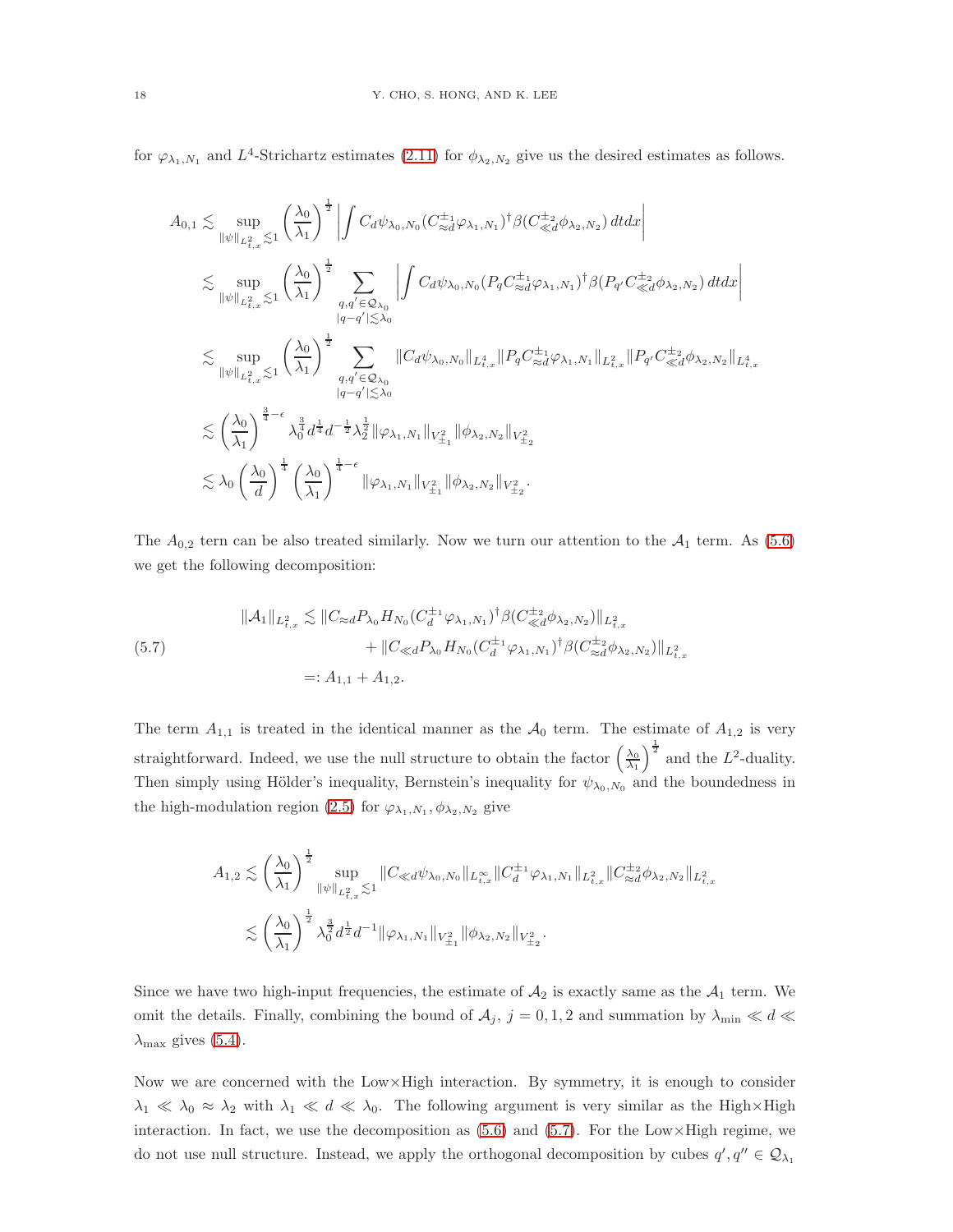for  $\varphi_{\lambda_1,N_1}$  and  $L^4$ -Strichartz estimates [\(2.11\)](#page-9-2) for  $\phi_{\lambda_2,N_2}$  give us the desired estimates as follows.

$$
A_{0,1} \lesssim \sup_{\|\psi\|_{L_{t,x}^{2}} \lesssim 1} \left(\frac{\lambda_{0}}{\lambda_{1}}\right)^{\frac{1}{2}} \left| \int C_{d} \psi_{\lambda_{0},N_{0}} (C_{\approx d}^{\pm_{1}} \varphi_{\lambda_{1},N_{1}})^{\dagger} \beta(C_{\ll d}^{\pm_{2}} \varphi_{\lambda_{2},N_{2}}) dt dx \right|
$$
  
\n
$$
\lesssim \sup_{\|\psi\|_{L_{t,x}^{2}} \lesssim 1} \left(\frac{\lambda_{0}}{\lambda_{1}}\right)^{\frac{1}{2}} \sum_{\substack{q,q' \in \mathcal{Q}_{\lambda_{0}} \\ |q-q'|\lesssim \lambda_{0}}} \left| \int C_{d} \psi_{\lambda_{0},N_{0}} (P_{q} C_{\approx d}^{\pm_{1}} \varphi_{\lambda_{1},N_{1}})^{\dagger} \beta(P_{q'} C_{\ll d}^{\pm_{2}} \varphi_{\lambda_{2},N_{2}}) dt dx \right|
$$
  
\n
$$
\lesssim \sup_{\|\psi\|_{L_{t,x}^{2}} \lesssim 1} \left(\frac{\lambda_{0}}{\lambda_{1}}\right)^{\frac{1}{2}} \sum_{\substack{q,q' \in \mathcal{Q}_{\lambda_{0}} \\ |q-q'|\lesssim \lambda_{0}}} \|C_{d} \psi_{\lambda_{0},N_{0}}\|_{L_{t,x}^{4}} \|P_{q} C_{\approx d}^{\pm_{1}} \varphi_{\lambda_{1},N_{1}}\|_{L_{t,x}^{2}} \|P_{q'} C_{\ll d}^{\pm_{2}} \varphi_{\lambda_{2},N_{2}}\|_{L_{t,x}^{4}}
$$
  
\n
$$
\lesssim \left(\frac{\lambda_{0}}{\lambda_{1}}\right)^{\frac{3}{4}-\epsilon} \lambda_{0}^{\frac{3}{4}} d^{\frac{1}{4}} d^{-\frac{1}{2}} \lambda_{2}^{\frac{1}{2}} \|\varphi_{\lambda_{1},N_{1}}\|_{V_{\pm_{1}}^{2}} \|\phi_{\lambda_{2},N_{2}}\|_{V_{\pm_{2}}^{2}}
$$
  
\n
$$
\lesssim \lambda_{0} \left(\frac{\lambda_{0}}{d}\right)^{\frac{1}{4}} \left(\frac{\lambda_{0}}{\lambda_{1}}\right)^{\frac{1}{4}-\epsilon} \|\varphi_{\lambda_{
$$

The  $A_{0,2}$  tern can be also treated similarly. Now we turn our attention to the  $A_1$  term. As [\(5.6\)](#page-16-0) we get the following decomposition:

<span id="page-17-0"></span>
$$
\|A_{1}\|_{L_{t,x}^{2}} \lesssim \|C_{\approx d}P_{\lambda_{0}}H_{N_{0}}(C_{d}^{\pm_{1}}\varphi_{\lambda_{1},N_{1}})^{\dagger}\beta(C_{\ll d}^{\pm_{2}}\phi_{\lambda_{2},N_{2}})\|_{L_{t,x}^{2}} + \|C_{\ll d}P_{\lambda_{0}}H_{N_{0}}(C_{d}^{\pm_{1}}\varphi_{\lambda_{1},N_{1}})^{\dagger}\beta(C_{\approx d}^{\pm_{2}}\phi_{\lambda_{2},N_{2}})\|_{L_{t,x}^{2}} =: A_{1,1} + A_{1,2}.
$$

The term  $A_{1,1}$  is treated in the identical manner as the  $A_0$  term. The estimate of  $A_{1,2}$  is very straightforward. Indeed, we use the null structure to obtain the factor  $\left(\frac{\lambda_0}{\lambda_1}\right)$  $\int_{0}^{\frac{1}{2}}$  and the L<sup>2</sup>-duality. Then simply using Hölder's inequality, Bernstein's inequality for  $\psi_{\lambda_0,N_0}$  and the boundedness in the high-modulation region [\(2.5\)](#page-7-1) for  $\varphi_{\lambda_1, N_1}, \phi_{\lambda_2, N_2}$  give

$$
A_{1,2} \lesssim \left(\frac{\lambda_0}{\lambda_1}\right)^{\frac{1}{2}} \sup_{\|\psi\|_{L^2_{t,x}} \lesssim 1} \|C_{\ll d} \psi_{\lambda_0, N_0}\|_{L^\infty_{t,x}} \|C_d^{\pm_1} \varphi_{\lambda_1, N_1}\|_{L^2_{t,x}} \|C_{\approx d}^{\pm_2} \phi_{\lambda_2, N_2}\|_{L^2_{t,x}} \lesssim \left(\frac{\lambda_0}{\lambda_1}\right)^{\frac{1}{2}} \lambda_0^{\frac{3}{2}} d^{\frac{1}{2}} d^{-1} \|\varphi_{\lambda_1, N_1}\|_{V^2_{\pm_1}} \|\phi_{\lambda_2, N_2}\|_{V^2_{\pm_2}}.
$$

Since we have two high-input frequencies, the estimate of  $A_2$  is exactly same as the  $A_1$  term. We omit the details. Finally, combining the bound of  $A_j$ ,  $j = 0, 1, 2$  and summation by  $\lambda_{\min} \ll d \ll$  $\lambda_{\text{max}}$  gives [\(5.4\)](#page-16-1).

Now we are concerned with the Low×High interaction. By symmetry, it is enough to consider  $\lambda_1 \ll \lambda_0 \approx \lambda_2$  with  $\lambda_1 \ll d \ll \lambda_0$ . The following argument is very similar as the High×High interaction. In fact, we use the decomposition as  $(5.6)$  and  $(5.7)$ . For the Low×High regime, we do not use null structure. Instead, we apply the orthogonal decomposition by cubes  $q', q'' \in \mathcal{Q}_{\lambda_1}$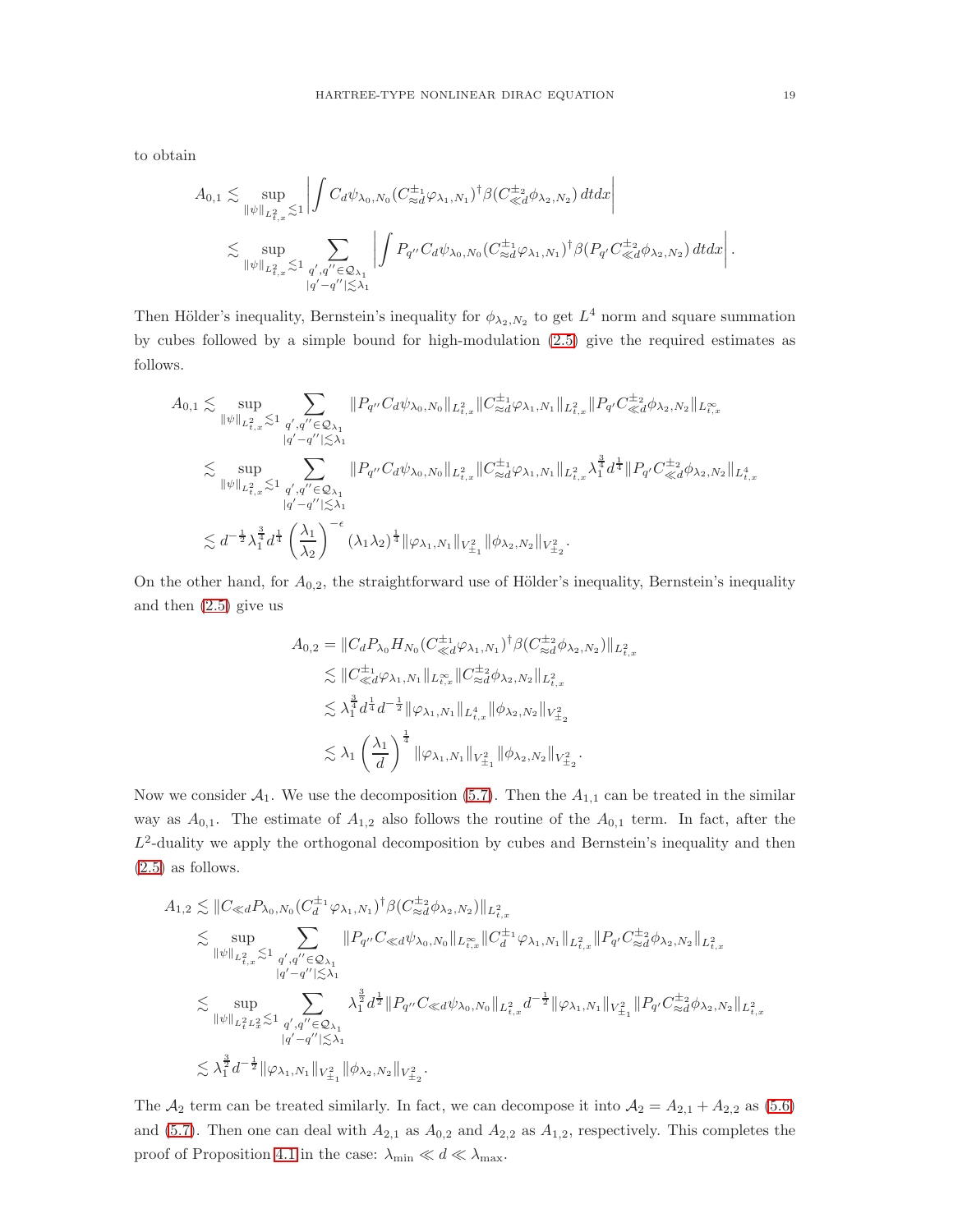to obtain

$$
A_{0,1} \lesssim \sup_{\|\psi\|_{L^2_{t,x}} \lesssim 1} \left| \int C_d \psi_{\lambda_0, N_0} (C^{\pm_1}_{\approx d} \varphi_{\lambda_1, N_1})^{\dagger} \beta (C^{\pm_2}_{\ll d} \phi_{\lambda_2, N_2}) \, dt dx \right|
$$
  

$$
\lesssim \sup_{\|\psi\|_{L^2_{t,x}} \lesssim 1} \sum_{\substack{q',q'' \in \mathcal{Q}_{\lambda_1} \\ |q'-q''| \lesssim \lambda_1}} \left| \int P_{q''} C_d \psi_{\lambda_0, N_0} (C^{\pm_1}_{\approx d} \varphi_{\lambda_1, N_1})^{\dagger} \beta (P_{q'} C^{\pm_2}_{\ll d} \phi_{\lambda_2, N_2}) \, dt dx \right|.
$$

Then Hölder's inequality, Bernstein's inequality for  $\phi_{\lambda_2,N_2}$  to get  $L^4$  norm and square summation by cubes followed by a simple bound for high-modulation [\(2.5\)](#page-7-1) give the required estimates as follows.

$$
\begin{array}{l} A_{0,1} \lesssim \sup_{\left\|\psi\right\|_{L_{t,x}^{2}} \lesssim 1} \sum_{\substack{q',q'' \in \mathcal{Q}_{\lambda_{1}} \\ |q'-q''| \lesssim \lambda_{1}}} \left\|P_{q''}C_{d}\psi_{\lambda_{0},N_{0}}\right\|_{L_{t,x}^{2}} \|C^{\pm_{1}}_{\approx d}\varphi_{\lambda_{1},N_{1}}\|_{L_{t,x}^{2}} \|P_{q'}C^{\pm_{2}}_{\ll d}\phi_{\lambda_{2},N_{2}}\|_{L_{t,x}^{\infty}} \\ \lesssim \sup_{\left\|\psi\right\|_{L_{t,x}^{2}} \lesssim 1} \sum_{\substack{q',q'' \in \mathcal{Q}_{\lambda_{1}} \\ |q'-q''| \lesssim \lambda_{1}}} \left\|P_{q''}C_{d}\psi_{\lambda_{0},N_{0}}\right\|_{L_{t,x}^{2}} \|C^{\pm_{1}}_{\approx d}\varphi_{\lambda_{1},N_{1}}\|_{L_{t,x}^{2}} \lambda_{1}^{\frac{3}{4}} d^{\frac{1}{4}} \|P_{q'}C^{\pm_{2}}_{\ll d}\phi_{\lambda_{2},N_{2}}\|_{L_{t,x}^{4}} \\ \lesssim d^{-\frac{1}{2}} \lambda_{1}^{\frac{3}{4}} d^{\frac{1}{4}} \left(\frac{\lambda_{1}}{\lambda_{2}}\right)^{-\epsilon} (\lambda_{1}\lambda_{2})^{\frac{1}{4}} \|\varphi_{\lambda_{1},N_{1}}\|_{V_{\pm_{1}}^{2}} \|\phi_{\lambda_{2},N_{2}}\|_{V_{\pm_{2}}^{2}}. \end{array}
$$

On the other hand, for  $A_{0,2}$ , the straightforward use of Hölder's inequality, Bernstein's inequality and then [\(2.5\)](#page-7-1) give us

$$
A_{0,2} = ||C_d P_{\lambda_0} H_{N_0} (C_{\ll d}^{\pm_1} \varphi_{\lambda_1, N_1})^\dagger \beta (C_{\approx d}^{\pm_2} \varphi_{\lambda_2, N_2}) ||_{L^2_{t,x}} \n\lesssim ||C_{\ll d}^{\pm_1} \varphi_{\lambda_1, N_1} ||_{L^\infty_{t,x}} || C_{\approx d}^{\pm_2} \varphi_{\lambda_2, N_2} ||_{L^2_{t,x}} \n\lesssim \lambda_1^{\frac{3}{4}} d^{\frac{1}{4}} d^{-\frac{1}{2}} ||\varphi_{\lambda_1, N_1} ||_{L^4_{t,x}} ||\varphi_{\lambda_2, N_2} ||_{V^2_{\pm_2}} \n\lesssim \lambda_1 \left(\frac{\lambda_1}{d}\right)^{\frac{1}{4}} ||\varphi_{\lambda_1, N_1} ||_{V^2_{\pm_1}} ||\varphi_{\lambda_2, N_2} ||_{V^2_{\pm_2}}.
$$

Now we consider  $A_1$ . We use the decomposition [\(5.7\)](#page-17-0). Then the  $A_{1,1}$  can be treated in the similar way as  $A_{0,1}$ . The estimate of  $A_{1,2}$  also follows the routine of the  $A_{0,1}$  term. In fact, after the  $L^2$ -duality we apply the orthogonal decomposition by cubes and Bernstein's inequality and then [\(2.5\)](#page-7-1) as follows.

$$
A_{1,2} \lesssim \|C_{\ll d}P_{\lambda_0, N_0}(C_d^{\pm_1} \varphi_{\lambda_1, N_1})^{\dagger} \beta(C_{\approx d}^{\pm_2} \phi_{\lambda_2, N_2})\|_{L^2_{t,x}} \n\lesssim \sup_{\|\psi\|_{L^2_{t,x}} \lesssim 1} \sum_{\substack{q',q'' \in \mathcal{Q}_{\lambda_1} \\ |q'-q''| \lesssim \lambda_1}} \|P_{q''}C_{\ll d} \psi_{\lambda_0, N_0}\|_{L^\infty_{t,x}} \|C_d^{\pm_1} \varphi_{\lambda_1, N_1}\|_{L^2_{t,x}} \|P_{q'}C_{\approx d}^{\pm_2} \phi_{\lambda_2, N_2}\|_{L^2_{t,x}} \n\lesssim \sup_{\|\psi\|_{L^2_t L^2_x} \lesssim 1} \sum_{\substack{q',q'' \in \mathcal{Q}_{\lambda_1} \\ |q'-q''| \lesssim \lambda_1}} \lambda_1^{\frac{3}{2}} d^{\frac{1}{2}} \|P_{q''}C_{\ll d} \psi_{\lambda_0, N_0}\|_{L^2_{t,x}} d^{-\frac{1}{2}} \|\varphi_{\lambda_1, N_1}\|_{V^2_{\pm_1}} \|P_{q'}C_{\approx d}^{\pm_2} \phi_{\lambda_2, N_2}\|_{L^2_{t,x}} \n\lesssim \lambda_1^{\frac{3}{2}} d^{-\frac{1}{2}} \|\varphi_{\lambda_1, N_1}\|_{V^2_{\pm_1}} \|\phi_{\lambda_2, N_2}\|_{V^2_{\pm_2}}.
$$

The  $A_2$  term can be treated similarly. In fact, we can decompose it into  $A_2 = A_{2,1} + A_{2,2}$  as [\(5.6\)](#page-16-0) and [\(5.7\)](#page-17-0). Then one can deal with  $A_{2,1}$  as  $A_{0,2}$  and  $A_{2,2}$  as  $A_{1,2}$ , respectively. This completes the proof of Proposition [4.1](#page-13-0) in the case:  $\lambda_{\min} \ll d \ll \lambda_{\max}$ .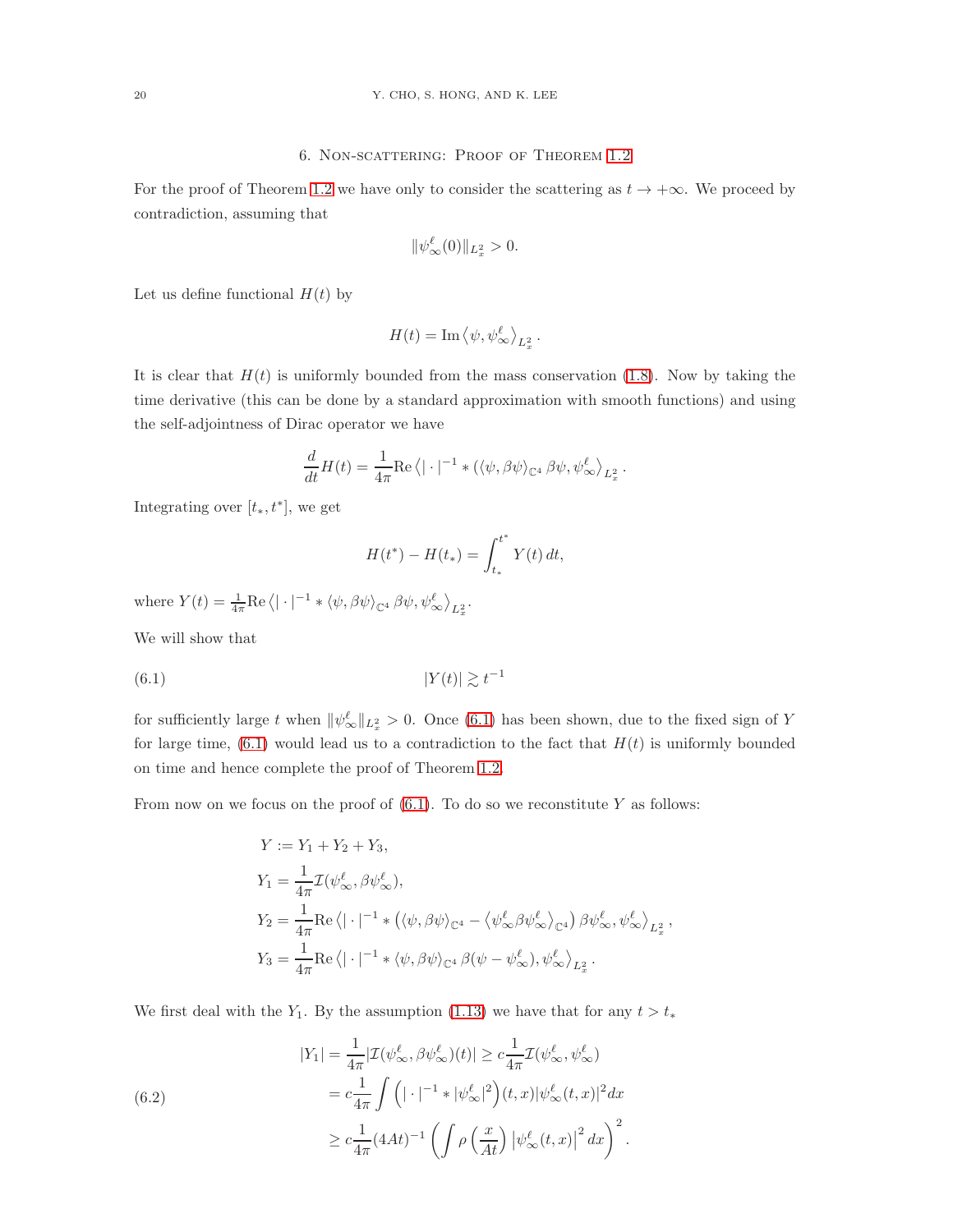For the proof of Theorem [1.2](#page-5-1) we have only to consider the scattering as  $t \to +\infty$ . We proceed by contradiction, assuming that

$$
\|\psi_\infty^{\ell}(0)\|_{L^2_x} > 0.
$$

Let us define functional  $H(t)$  by

$$
H(t) = \operatorname{Im}\left\langle \psi, \psi_{\infty}^{\ell} \right\rangle_{L_x^2}.
$$

It is clear that  $H(t)$  is uniformly bounded from the mass conservation [\(1.8\)](#page-1-5). Now by taking the time derivative (this can be done by a standard approximation with smooth functions) and using the self-adjointness of Dirac operator we have

$$
\frac{d}{dt}H(t) = \frac{1}{4\pi} \text{Re}\left\langle |\cdot|^{-1} * (\langle \psi, \beta \psi \rangle_{\mathbb{C}^4} \beta \psi, \psi_{\infty}^{\ell} \rangle_{L_x^2} \right\}.
$$

Integrating over  $[t_*, t^*]$ , we get

$$
H(t^*) - H(t_*) = \int_{t_*}^{t^*} Y(t) dt,
$$

where  $Y(t) = \frac{1}{4\pi} \text{Re}\left\langle |\cdot|^{-1} * \langle \psi, \beta \psi \rangle_{\mathbb{C}^4} \beta \psi, \psi_{\infty}^{\ell} \right\rangle_{L_x^2}$ .

We will show that

<span id="page-19-0"></span>
$$
|Y(t)| \gtrsim t^{-1}
$$

for sufficiently large t when  $\|\psi^{\ell}_{\infty}\|_{L_x^2} > 0$ . Once [\(6.1\)](#page-19-0) has been shown, due to the fixed sign of Y for large time,  $(6.1)$  would lead us to a contradiction to the fact that  $H(t)$  is uniformly bounded on time and hence complete the proof of Theorem [1.2.](#page-5-1)

From now on we focus on the proof of  $(6.1)$ . To do so we reconstitute Y as follows:

$$
\begin{split} Y &:= Y_1 + Y_2 + Y_3, \\ Y_1 & = \frac{1}{4\pi} \mathcal{I}(\psi_\infty^\ell, \beta \psi_\infty^\ell), \\ Y_2 & = \frac{1}{4\pi} \mathrm{Re} \left\langle |\cdot|^{-1} * \left( \langle \psi, \beta \psi \rangle_{\mathbb{C}^4} - \langle \psi_\infty^\ell \beta \psi_\infty^\ell \rangle_{\mathbb{C}^4} \right) \beta \psi_\infty^\ell, \psi_\infty^\ell \rangle_{L_x^2}, \\ Y_3 & = \frac{1}{4\pi} \mathrm{Re} \left\langle |\cdot|^{-1} * \langle \psi, \beta \psi \rangle_{\mathbb{C}^4} \beta (\psi - \psi_\infty^\ell), \psi_\infty^\ell \rangle_{L_x^2}. \end{split}
$$

We first deal with the Y<sub>1</sub>. By the assumption [\(1.13\)](#page-5-0) we have that for any  $t > t_*$ 

<span id="page-19-1"></span>(6.2)  
\n
$$
|Y_1| = \frac{1}{4\pi} |\mathcal{I}(\psi_\infty^\ell, \beta \psi_\infty^\ell)(t)| \ge c \frac{1}{4\pi} \mathcal{I}(\psi_\infty^\ell, \psi_\infty^\ell)
$$
\n
$$
= c \frac{1}{4\pi} \int (|\cdot|^{-1} * |\psi_\infty^\ell|^2) (t, x) |\psi_\infty^\ell(t, x)|^2 dx
$$
\n
$$
\ge c \frac{1}{4\pi} (4At)^{-1} \left( \int \rho \left( \frac{x}{At} \right) |\psi_\infty^\ell(t, x)|^2 dx \right)^2.
$$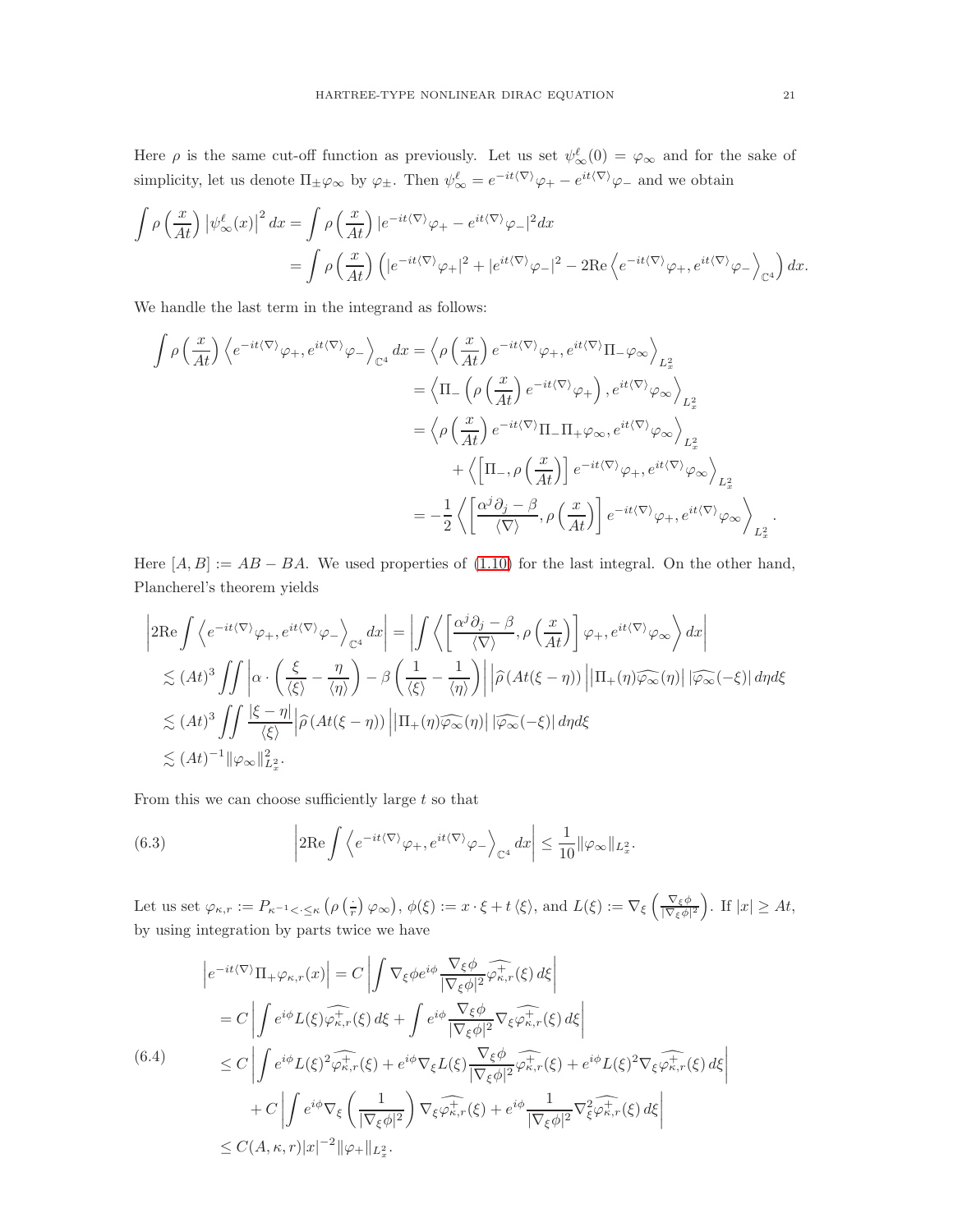Here  $\rho$  is the same cut-off function as previously. Let us set  $\psi^{\ell}_{\infty}(0) = \varphi_{\infty}$  and for the sake of simplicity, let us denote  $\Pi_{\pm} \varphi_{\infty}$  by  $\varphi_{\pm}$ . Then  $\psi_{\infty}^{\ell} = e^{-it\langle \nabla \rangle} \varphi_{+} - e^{it\langle \nabla \rangle} \varphi_{-}$  and we obtain

$$
\int \rho \left(\frac{x}{At}\right) \left|\psi_{\infty}^{\ell}(x)\right|^{2} dx = \int \rho \left(\frac{x}{At}\right) \left|e^{-it\langle\nabla\rangle}\varphi_{+} - e^{it\langle\nabla\rangle}\varphi_{-}\right|^{2} dx
$$
  
= 
$$
\int \rho \left(\frac{x}{At}\right) \left(\left|e^{-it\langle\nabla\rangle}\varphi_{+}\right|^{2} + \left|e^{it\langle\nabla\rangle}\varphi_{-}\right|^{2} - 2\text{Re}\left\langle e^{-it\langle\nabla\rangle}\varphi_{+}, e^{it\langle\nabla\rangle}\varphi_{-}\right\rangle_{\mathbb{C}^{4}}\right) dx.
$$

We handle the last term in the integrand as follows:

$$
\int \rho \left(\frac{x}{At}\right) \left\langle e^{-it\langle \nabla \rangle} \varphi_+, e^{it\langle \nabla \rangle} \varphi_-\right\rangle_{\mathbb{C}^4} dx = \left\langle \rho \left(\frac{x}{At}\right) e^{-it\langle \nabla \rangle} \varphi_+, e^{it\langle \nabla \rangle} \Pi_-\varphi_\infty \right\rangle_{L_x^2}
$$
\n
$$
= \left\langle \Pi_- \left(\rho \left(\frac{x}{At}\right) e^{-it\langle \nabla \rangle} \varphi_+\right), e^{it\langle \nabla \rangle} \varphi_\infty \right\rangle_{L_x^2}
$$
\n
$$
= \left\langle \rho \left(\frac{x}{At}\right) e^{-it\langle \nabla \rangle} \Pi_- \Pi_+ \varphi_\infty, e^{it\langle \nabla \rangle} \varphi_\infty \right\rangle_{L_x^2}
$$
\n
$$
+ \left\langle \left[\Pi_-, \rho \left(\frac{x}{At}\right)\right] e^{-it\langle \nabla \rangle} \varphi_+, e^{it\langle \nabla \rangle} \varphi_\infty \right\rangle_{L_x^2}
$$
\n
$$
= -\frac{1}{2} \left\langle \left[\frac{\alpha^j \partial_j - \beta}{\langle \nabla \rangle}, \rho \left(\frac{x}{At}\right)\right] e^{-it\langle \nabla \rangle} \varphi_+, e^{it\langle \nabla \rangle} \varphi_\infty \right\rangle_{L_x^2}.
$$

Here  $[A, B] := AB - BA$ . We used properties of [\(1.10\)](#page-1-4) for the last integral. On the other hand, Plancherel's theorem yields

$$
\begin{split}\n&\left|2\mathrm{Re}\int\left\langle e^{-it\langle\nabla\rangle}\varphi_{+},e^{it\langle\nabla\rangle}\varphi_{-}\right\rangle_{\mathbb{C}^{4}}dx\right| = \left|\int\left\langle \left[\frac{\alpha^{j}\partial_{j}-\beta}{\langle\nabla\rangle},\rho\left(\frac{x}{At}\right)\right]\varphi_{+},e^{it\langle\nabla\rangle}\varphi_{\infty}\right\rangle dx\right| \\
&\lesssim (At)^{3} \iint\left|\alpha\cdot\left(\frac{\xi}{\langle\xi\rangle}-\frac{\eta}{\langle\eta\rangle}\right)-\beta\left(\frac{1}{\langle\xi\rangle}-\frac{1}{\langle\eta\rangle}\right)\right|\left|\widehat{\rho}\left(At(\xi-\eta)\right)\right|\left|\Pi_{+}(\eta)\widehat{\varphi_{\infty}}(\eta)\right|\left|\widehat{\varphi_{\infty}}(-\xi)\right|d\eta d\xi \\
&\lesssim (At)^{3} \iint\frac{\left|\xi-\eta\right|}{\langle\xi\rangle}\left|\widehat{\rho}\left(At(\xi-\eta)\right)\right|\left|\Pi_{+}(\eta)\widehat{\varphi_{\infty}}(\eta)\right|\left|\widehat{\varphi_{\infty}}(-\xi)\right|d\eta d\xi \\
&\lesssim (At)^{-1}\|\varphi_{\infty}\|_{L_{x}^{2}}^{2}.\n\end{split}
$$

From this we can choose sufficiently large  $t$  so that

<span id="page-20-0"></span>(6.3) 
$$
\left|2\mathrm{Re}\int\left\langle e^{-it\langle\nabla\rangle}\varphi_+,e^{it\langle\nabla\rangle}\varphi_-\right\rangle_{\mathbb{C}^4}dx\right|\leq \frac{1}{10}\|\varphi_\infty\|_{L_x^2}.
$$

Let us set  $\varphi_{\kappa,r} := P_{\kappa^{-1} < \cdot \leq \kappa} \left( \rho \left( \frac{1}{r} \right) \varphi_{\infty} \right), \phi(\xi) := x \cdot \xi + t \langle \xi \rangle$ , and  $L(\xi) := \nabla_{\xi} \left( \frac{\nabla_{\xi} \phi}{|\nabla_{\xi} \phi|} \right)$  $\frac{\nabla_{\xi} \phi}{|\nabla_{\xi} \phi|^2}$ . If  $|x| \geq At$ , by using integration by parts twice we have

<span id="page-20-1"></span>
$$
\begin{split}\n\left|e^{-it\langle\nabla\rangle}\Pi_{+}\varphi_{\kappa,r}(x)\right| &= C\left|\int \nabla_{\xi}\phi e^{i\phi}\frac{\nabla_{\xi}\phi}{|\nabla_{\xi}\phi|^{2}}\widehat{\varphi_{\kappa,r}^{+}}(\xi)\,d\xi\right| \\
&= C\left|\int e^{i\phi}L(\xi)\widehat{\varphi_{\kappa,r}^{+}}(\xi)\,d\xi + \int e^{i\phi}\frac{\nabla_{\xi}\phi}{|\nabla_{\xi}\phi|^{2}}\nabla_{\xi}\widehat{\varphi_{\kappa,r}^{+}}(\xi)\,d\xi\right| \\
&\leq C\left|\int e^{i\phi}L(\xi)^{2}\widehat{\varphi_{\kappa,r}^{+}}(\xi) + e^{i\phi}\nabla_{\xi}L(\xi)\frac{\nabla_{\xi}\phi}{|\nabla_{\xi}\phi|^{2}}\widehat{\varphi_{\kappa,r}^{+}}(\xi) + e^{i\phi}L(\xi)^{2}\nabla_{\xi}\widehat{\varphi_{\kappa,r}^{+}}(\xi)\,d\xi\right| \\
&\quad + C\left|\int e^{i\phi}\nabla_{\xi}\left(\frac{1}{|\nabla_{\xi}\phi|^{2}}\right)\nabla_{\xi}\widehat{\varphi_{\kappa,r}^{+}}(\xi) + e^{i\phi}\frac{1}{|\nabla_{\xi}\phi|^{2}}\nabla_{\xi}^{2}\widehat{\varphi_{\kappa,r}^{+}}(\xi)\,d\xi\right| \\
&\leq C(A,\kappa,r)|x|^{-2}\|\varphi_{+}\|_{L_{x}^{2}}.\n\end{split}
$$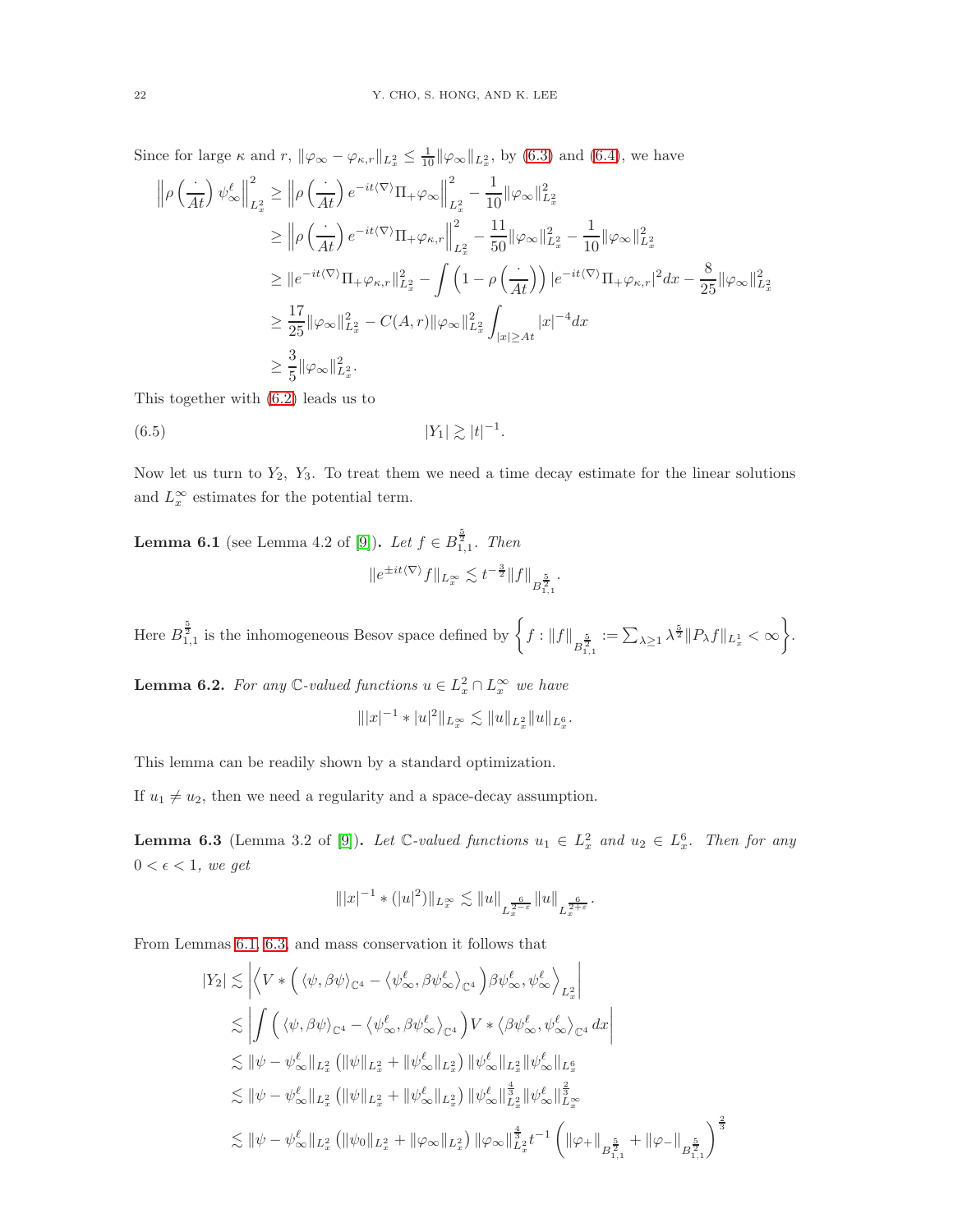Since for large  $\kappa$  and  $r$ ,  $\|\varphi_{\infty} - \varphi_{\kappa,r}\|_{L_x^2} \leq \frac{1}{10} \|\varphi_{\infty}\|_{L_x^2}$ , by [\(6.3\)](#page-20-0) and [\(6.4\)](#page-20-1), we have

$$
\begin{split} \left\| \rho \left( \frac{\cdot}{At} \right) \psi_\infty^\ell \right\|_{L_x^2}^2 &\geq \left\| \rho \left( \frac{\cdot}{At} \right) e^{-it\langle \nabla \rangle} \Pi_+ \varphi_\infty \right\|_{L_x^2}^2 - \frac{1}{10} \|\varphi_\infty\|_{L_x^2}^2 \\ &\geq \left\| \rho \left( \frac{\cdot}{At} \right) e^{-it\langle \nabla \rangle} \Pi_+ \varphi_{\kappa,r} \right\|_{L_x^2}^2 - \frac{1}{50} \|\varphi_\infty\|_{L_x^2}^2 - \frac{1}{10} \|\varphi_\infty\|_{L_x^2}^2 \\ &\geq \| e^{-it\langle \nabla \rangle} \Pi_+ \varphi_{\kappa,r} \|^2_{L_x^2} - \int \left( 1 - \rho \left( \frac{\cdot}{At} \right) \right) |e^{-it\langle \nabla \rangle} \Pi_+ \varphi_{\kappa,r} |^2 dx - \frac{8}{25} \|\varphi_\infty\|_{L_x^2}^2 \\ &\geq \frac{17}{25} \|\varphi_\infty\|_{L_x^2}^2 - C(A,r) \|\varphi_\infty\|_{L_x^2}^2 \int_{|x| \geq At} |x|^{-4} dx \\ &\geq \frac{3}{5} \|\varphi_\infty\|_{L_x^2}^2. \end{split}
$$

This together with [\(6.2\)](#page-19-1) leads us to

<span id="page-21-3"></span>
$$
(6.5) \t\t\t |Y_1| \gtrsim |t|^{-1}.
$$

Now let us turn to  $Y_2$ ,  $Y_3$ . To treat them we need a time decay estimate for the linear solutions and  $L_x^{\infty}$  estimates for the potential term.

<span id="page-21-2"></span>**Lemma 6.1** (see Lemma 4.2 of [\[9\]](#page-22-5)). *Let*  $f \in B_{1,1}^{\frac{5}{2}}$ . *Then*  $||e^{\pm it\langle\nabla\rangle}f||_{L_x^{\infty}} \lesssim t^{-\frac{3}{2}}||f||_{B_{1,1}^{\frac{5}{2}}}$ .

Here  $B_{1,1}^{\frac{5}{2}}$  is the inhomogeneous Besov space defined by  $\left\{f: \|f\|_{B_{1,1}^{\frac{5}{2}}}:=\sum_{\lambda\geq 1}\lambda^{\frac{5}{2}}\|P_\lambda f\|_{L_x^1}<\infty\right\}$  $\mathcal{L}$ .

<span id="page-21-0"></span>**Lemma 6.2.** For any  $\mathbb{C}$ -valued functions  $u \in L_x^2 \cap L_x^{\infty}$  we have

$$
\| |x|^{-1} * |u|^2 \|_{L^\infty_x} \lesssim \|u\|_{L^2_x} \|u\|_{L^6_x}.
$$

This lemma can be readily shown by a standard optimization.

If  $u_1 \neq u_2$ , then we need a regularity and a space-decay assumption.

<span id="page-21-1"></span>**Lemma 6.3** (Lemma 3.2 of [\[9\]](#page-22-5)). Let  $\mathbb{C}\text{-}valued$  functions  $u_1 \in L_x^2$  and  $u_2 \in L_x^6$ . Then for any  $0 < \epsilon < 1$ , we get

$$
\||x|^{-1} \ast (|u|^2) \|_{L^\infty_x} \lesssim \|u\|_{L^{\frac{6}{2-\varepsilon}}_x} \|u\|_{L^{\frac{6}{2+\varepsilon}}}.
$$

From Lemmas [6.1,](#page-21-2) [6.3,](#page-21-1) and mass conservation it follows that

$$
\begin{split} |Y_2| \lesssim & \left| \left\langle V \ast \left( \langle \psi, \beta \psi \rangle_{\mathbb{C}^4} - \langle \psi_\infty^\ell, \beta \psi_\infty^\ell \rangle_{\mathbb{C}^4} \right) \beta \psi_\infty^\ell, \psi_\infty^\ell \right\rangle_{L_x^2} \right| \\ \lesssim & \left| \int \left( \langle \psi, \beta \psi \rangle_{\mathbb{C}^4} - \langle \psi_\infty^\ell, \beta \psi_\infty^\ell \rangle_{\mathbb{C}^4} \right) V \ast \langle \beta \psi_\infty^\ell, \psi_\infty^\ell \rangle_{\mathbb{C}^4} \, dx \right| \\ \lesssim & \left| \psi - \psi_\infty^\ell \right|_{L_x^2} \left( \| \psi \|_{L_x^2} + \| \psi_\infty^\ell \|_{L_x^2} \right) \| \psi_\infty^\ell \|_{L_x^2} \| \psi_\infty^\ell \|_{L_x^6} \\ \lesssim & \left| \psi - \psi_\infty^\ell \right|_{L_x^2} \left( \| \psi \|_{L_x^2} + \| \psi_\infty^\ell \|_{L_x^2} \right) \| \psi_\infty^\ell \|_{L_x^2}^\frac{4}{3} \| \psi_\infty^\ell \|_{L_x^\infty}^\frac{2}{3} \\ \lesssim & \left| \psi - \psi_\infty^\ell \right|_{L_x^2} \left( \| \psi_0 \|_{L_x^2} + \| \varphi_\infty \|_{L_x^2} \right) \| \varphi_\infty \|_{L_x^2}^\frac{4}{3} t^{-1} \left( \| \varphi_+ \|_{B_{1,1}^\frac{5}{2}} + \| \varphi_- \|_{B_{1,1}^\frac{5}{2}} \right)^\frac{2}{3} \end{split}
$$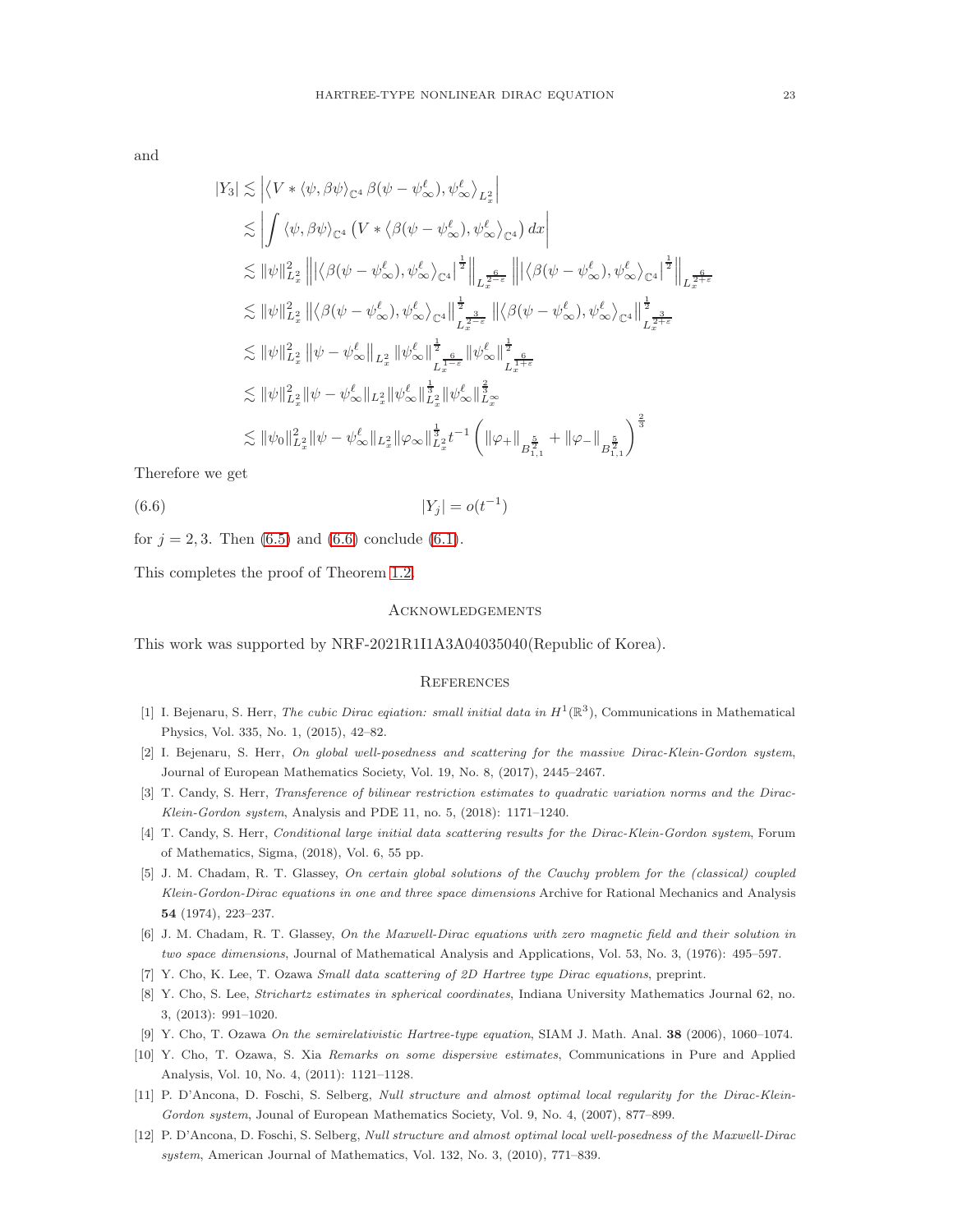and

$$
\begin{split} |Y_3| \lesssim & \left| \left\langle V \ast \langle \psi, \beta \psi \rangle_{\mathbb{C}^4} \beta(\psi - \psi_{\infty}^{\ell}), \psi_{\infty}^{\ell} \right\rangle_{L_x^2} \right| \\ \lesssim & \left| \int \left\langle \psi, \beta \psi \right\rangle_{\mathbb{C}^4} \left( V \ast \left\langle \beta(\psi - \psi_{\infty}^{\ell}), \psi_{\infty}^{\ell} \right\rangle_{\mathbb{C}^4} \right) dx \right| \\ \lesssim & \left\| \psi \right\|_{L_x^2}^2 \left\| \left| \left\langle \beta(\psi - \psi_{\infty}^{\ell}), \psi_{\infty}^{\ell} \right\rangle_{\mathbb{C}^4} \right|^{\frac{1}{2}} \right\|_{L_x^{\frac{6}{2-\epsilon}}} \left\| \left| \left\langle \beta(\psi - \psi_{\infty}^{\ell}), \psi_{\infty}^{\ell} \right\rangle_{\mathbb{C}^4} \right|^{\frac{1}{2}} \right\|_{L_x^{\frac{6}{2-\epsilon}}} \\ \lesssim & \left\| \psi \right\|_{L_x^2}^2 \left\| \left\langle \beta(\psi - \psi_{\infty}^{\ell}), \psi_{\infty}^{\ell} \right\rangle_{\mathbb{C}^4} \right\|_{L_x^{\frac{3}{2-\epsilon}}}^{\frac{1}{2-\epsilon}} \left\| \left\langle \beta(\psi - \psi_{\infty}^{\ell}), \psi_{\infty}^{\ell} \right\rangle_{\mathbb{C}^4} \right\|_{L_x^{\frac{3}{2+\epsilon}}}^{\frac{6}{2-\epsilon}} \\ \lesssim & \left\| \psi \right\|_{L_x^2}^2 \left\| \psi - \psi_{\infty}^{\ell} \right\|_{L_x^2} \left\| \psi_{\infty}^{\ell} \right\|_{L_x^{\frac{1}{2-\epsilon}}}^{\frac{1}{2-\epsilon}} \left\| \psi_{\infty}^{\ell} \right\|_{L_x^{\frac{6}{2-\epsilon}}}^{\frac{1}{2-\epsilon}} \\ \lesssim & \left\| \psi \right\|_{L_x^2}^2 \left\| \psi - \psi_{\infty}^{\ell} \right\|_{L_x^2} \left\| \psi_{\infty}^{\ell} \right\|_{L_x^{\frac{1}{2}}}^{\frac{
$$

Therefore we get

<span id="page-22-11"></span>(6.6)  $|Y_j| = o(t^{-1})$ 

for  $j = 2, 3$ . Then [\(6.5\)](#page-21-3) and [\(6.6\)](#page-22-11) conclude [\(6.1\)](#page-19-0).

This completes the proof of Theorem [1.2.](#page-5-1)

### Acknowledgements

This work was supported by NRF-2021R1I1A3A04035040(Republic of Korea).

### **REFERENCES**

- <span id="page-22-10"></span><span id="page-22-2"></span>[1] I. Bejenaru, S. Herr, *The cubic Dirac eqiation: small initial data in*  $H^1(\mathbb{R}^3)$ , Communications in Mathematical Physics, Vol. 335, No. 1, (2015), 42–82.
- <span id="page-22-1"></span>[2] I. Bejenaru, S. Herr, *On global well-posedness and scattering for the massive Dirac-Klein-Gordon system*, Journal of European Mathematics Society, Vol. 19, No. 8, (2017), 2445–2467.
- <span id="page-22-4"></span>[3] T. Candy, S. Herr, *Transference of bilinear restriction estimates to quadratic variation norms and the Dirac-Klein-Gordon system*, Analysis and PDE 11, no. 5, (2018): 1171–1240.
- <span id="page-22-8"></span>[4] T. Candy, S. Herr, *Conditional large initial data scattering results for the Dirac-Klein-Gordon system*, Forum of Mathematics, Sigma, (2018), Vol. 6, 55 pp.
- [5] J. M. Chadam, R. T. Glassey, *On certain global solutions of the Cauchy problem for the (classical) coupled Klein-Gordon-Dirac equations in one and three space dimensions* Archive for Rational Mechanics and Analysis 54 (1974), 223–237.
- <span id="page-22-9"></span><span id="page-22-0"></span>[6] J. M. Chadam, R. T. Glassey, *On the Maxwell-Dirac equations with zero magnetic field and their solution in two space dimensions*, Journal of Mathematical Analysis and Applications, Vol. 53, No. 3, (1976): 495–597.
- <span id="page-22-7"></span>[7] Y. Cho, K. Lee, T. Ozawa *Small data scattering of 2D Hartree type Dirac equations*, preprint.
- <span id="page-22-5"></span>[8] Y. Cho, S. Lee, *Strichartz estimates in spherical coordinates*, Indiana University Mathematics Journal 62, no. 3, (2013): 991–1020.
- <span id="page-22-6"></span>[9] Y. Cho, T. Ozawa *On the semirelativistic Hartree-type equation*, SIAM J. Math. Anal. 38 (2006), 1060–1074.
- [10] Y. Cho, T. Ozawa, S. Xia *Remarks on some dispersive estimates*, Communications in Pure and Applied Analysis, Vol. 10, No. 4, (2011): 1121–1128.
- <span id="page-22-3"></span>[11] P. D'Ancona, D. Foschi, S. Selberg, *Null structure and almost optimal local regularity for the Dirac-Klein-Gordon system*, Jounal of European Mathematics Society, Vol. 9, No. 4, (2007), 877–899.
- [12] P. D'Ancona, D. Foschi, S. Selberg, *Null structure and almost optimal local well-posedness of the Maxwell-Dirac system*, American Journal of Mathematics, Vol. 132, No. 3, (2010), 771–839.